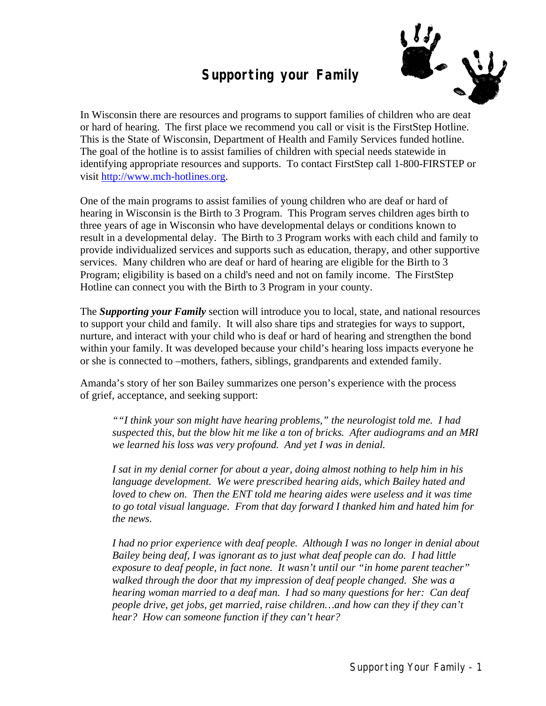# **Supporting your Family**



In Wisconsin there are resources and programs to support families of children who are deaf or hard of hearing. The first place we recommend you call or visit is the FirstStep Hotline. This is the State of Wisconsin, Department of Health and Family Services funded hotline. The goal of the hotline is to assist families of children with special needs statewide in identifying appropriate resources and supports. To contact FirstStep call 1-800-FIRSTEP or visit http://www.mch-hotlines.org.

One of the main programs to assist families of young children who are deaf or hard of hearing in Wisconsin is the Birth to 3 Program. This Program serves children ages birth to three years of age in Wisconsin who have developmental delays or conditions known to result in a developmental delay. The Birth to 3 Program works with each child and family to provide individualized services and supports such as education, therapy, and other supportive services. Many children who are deaf or hard of hearing are eligible for the Birth to 3 Program; eligibility is based on a child's need and not on family income. The FirstStep Hotline can connect you with the Birth to 3 Program in your county.

The *Supporting your Family* section will introduce you to local, state, and national resources to support your child and family. It will also share tips and strategies for ways to support, nurture, and interact with your child who is deaf or hard of hearing and strengthen the bond within your family. It was developed because your child's hearing loss impacts everyone he or she is connected to –mothers, fathers, siblings, grandparents and extended family.

Amanda's story of her son Bailey summarizes one person's experience with the process of grief, acceptance, and seeking support:

*""I think your son might have hearing problems," the neurologist told me. I had suspected this, but the blow hit me like a ton of bricks. After audiograms and an MRI we learned his loss was very profound. And yet I was in denial.*

*I sat in my denial corner for about a year, doing almost nothing to help him in his language development. We were prescribed hearing aids, which Bailey hated and loved to chew on. Then the ENT told me hearing aides were useless and it was time to go total visual language. From that day forward I thanked him and hated him for the news.*

*I had no prior experience with deaf people. Although I was no longer in denial about Bailey being deaf, I was ignorant as to just what deaf people can do. I had little exposure to deaf people, in fact none. It wasn't until our "in home parent teacher" walked through the door that my impression of deaf people changed. She was a hearing woman married to a deaf man. I had so many questions for her: Can deaf people drive, get jobs, get married, raise children…and how can they if they can't hear? How can someone function if they can't hear?*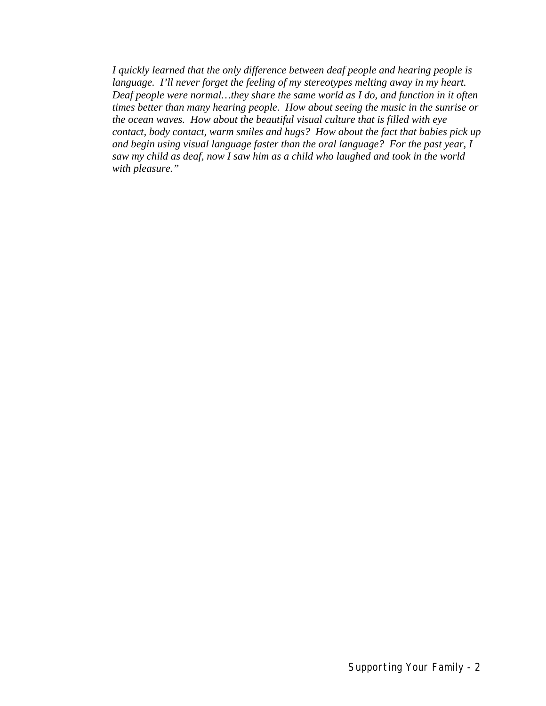*I quickly learned that the only difference between deaf people and hearing people is language. I'll never forget the feeling of my stereotypes melting away in my heart. Deaf people were normal…they share the same world as I do, and function in it often times better than many hearing people. How about seeing the music in the sunrise or the ocean waves. How about the beautiful visual culture that is filled with eye contact, body contact, warm smiles and hugs? How about the fact that babies pick up and begin using visual language faster than the oral language? For the past year, I saw my child as deaf, now I saw him as a child who laughed and took in the world with pleasure."*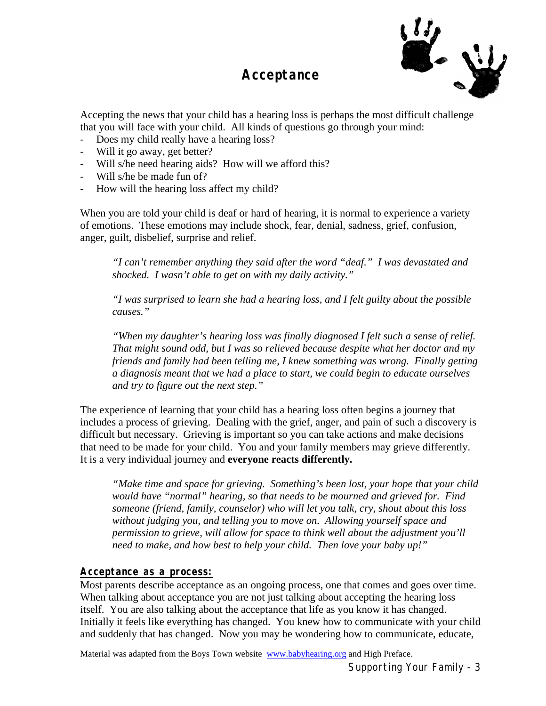# **Acceptance**



Accepting the news that your child has a hearing loss is perhaps the most difficult challenge that you will face with your child. All kinds of questions go through your mind:

- Does my child really have a hearing loss?
- Will it go away, get better?
- Will s/he need hearing aids? How will we afford this?
- Will s/he be made fun of?
- How will the hearing loss affect my child?

When you are told your child is deaf or hard of hearing, it is normal to experience a variety of emotions. These emotions may include shock, fear, denial, sadness, grief, confusion, anger, guilt, disbelief, surprise and relief.

*"I can't remember anything they said after the word "deaf." I was devastated and shocked. I wasn't able to get on with my daily activity."*

*"I was surprised to learn she had a hearing loss, and I felt guilty about the possible causes."*

*"When my daughter's hearing loss was finally diagnosed I felt such a sense of relief. That might sound odd, but I was so relieved because despite what her doctor and my friends and family had been telling me, I knew something was wrong. Finally getting a diagnosis meant that we had a place to start, we could begin to educate ourselves and try to figure out the next step."*

The experience of learning that your child has a hearing loss often begins a journey that includes a process of grieving. Dealing with the grief, anger, and pain of such a discovery is difficult but necessary. Grieving is important so you can take actions and make decisions that need to be made for your child. You and your family members may grieve differently. It is a very individual journey and **everyone reacts differently.**

*"Make time and space for grieving. Something's been lost, your hope that your child would have "normal" hearing, so that needs to be mourned and grieved for. Find someone (friend, family, counselor) who will let you talk, cry, shout about this loss without judging you, and telling you to move on. Allowing yourself space and permission to grieve, will allow for space to think well about the adjustment you'll need to make, and how best to help your child. Then love your baby up!"*

#### **Acceptance as a process:**

Most parents describe acceptance as an ongoing process, one that comes and goes over time. When talking about acceptance you are not just talking about accepting the hearing loss itself. You are also talking about the acceptance that life as you know it has changed. Initially it feels like everything has changed. You knew how to communicate with your child and suddenly that has changed. Now you may be wondering how to communicate, educate,

Material was adapted from the Boys Town website www.babyhearing.org and High Preface.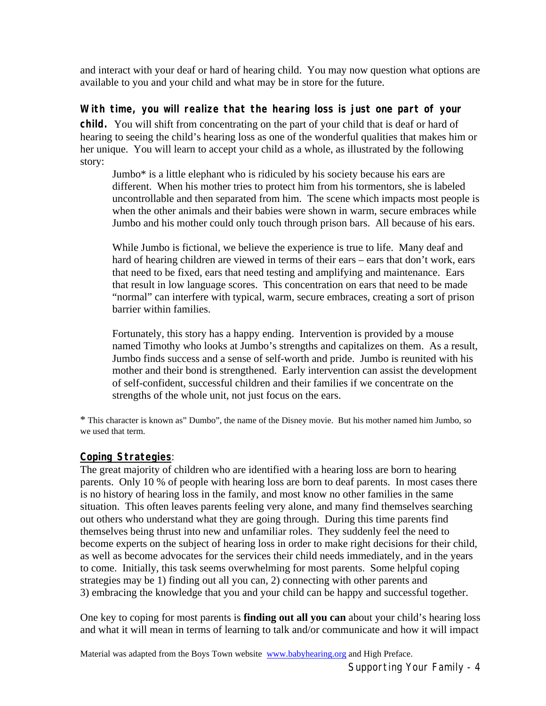and interact with your deaf or hard of hearing child. You may now question what options are available to you and your child and what may be in store for the future.

# **With time, you will realize that the hearing loss is just one part of your**

**child.** You will shift from concentrating on the part of your child that is deaf or hard of hearing to seeing the child's hearing loss as one of the wonderful qualities that makes him or her unique. You will learn to accept your child as a whole, as illustrated by the following story:

Jumbo\* is a little elephant who is ridiculed by his society because his ears are different. When his mother tries to protect him from his tormentors, she is labeled uncontrollable and then separated from him. The scene which impacts most people is when the other animals and their babies were shown in warm, secure embraces while Jumbo and his mother could only touch through prison bars. All because of his ears.

While Jumbo is fictional, we believe the experience is true to life. Many deaf and hard of hearing children are viewed in terms of their ears – ears that don't work, ears that need to be fixed, ears that need testing and amplifying and maintenance. Ears that result in low language scores. This concentration on ears that need to be made "normal" can interfere with typical, warm, secure embraces, creating a sort of prison barrier within families.

Fortunately, this story has a happy ending. Intervention is provided by a mouse named Timothy who looks at Jumbo's strengths and capitalizes on them. As a result, Jumbo finds success and a sense of self-worth and pride. Jumbo is reunited with his mother and their bond is strengthened. Early intervention can assist the development of self-confident, successful children and their families if we concentrate on the strengths of the whole unit, not just focus on the ears.

\* This character is known as" Dumbo", the name of the Disney movie. But his mother named him Jumbo, so we used that term.

## **Coping Strategies**:

The great majority of children who are identified with a hearing loss are born to hearing parents. Only 10 % of people with hearing loss are born to deaf parents. In most cases there is no history of hearing loss in the family, and most know no other families in the same situation. This often leaves parents feeling very alone, and many find themselves searching out others who understand what they are going through. During this time parents find themselves being thrust into new and unfamiliar roles. They suddenly feel the need to become experts on the subject of hearing loss in order to make right decisions for their child, as well as become advocates for the services their child needs immediately, and in the years to come. Initially, this task seems overwhelming for most parents. Some helpful coping strategies may be 1) finding out all you can, 2) connecting with other parents and 3) embracing the knowledge that you and your child can be happy and successful together.

One key to coping for most parents is **finding out all you can** about your child's hearing loss and what it will mean in terms of learning to talk and/or communicate and how it will impact

Material was adapted from the Boys Town website www.babyhearing.org and High Preface.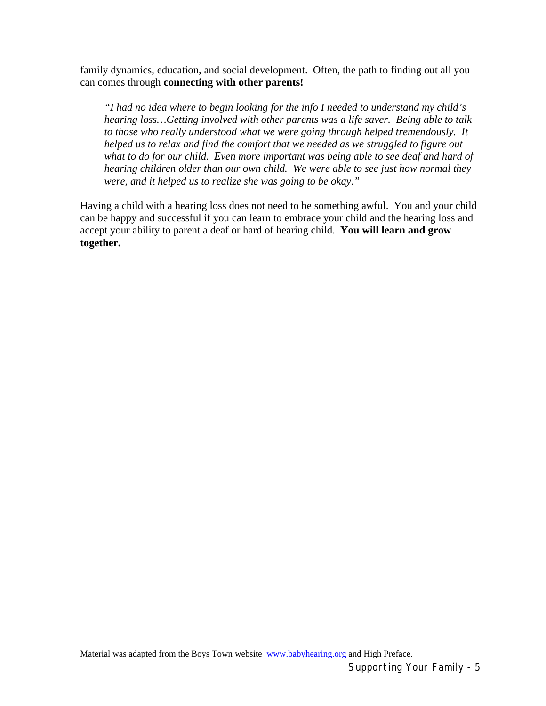family dynamics, education, and social development. Often, the path to finding out all you can comes through **connecting with other parents!**

*"I had no idea where to begin looking for the info I needed to understand my child's hearing loss…Getting involved with other parents was a life saver. Being able to talk to those who really understood what we were going through helped tremendously. It helped us to relax and find the comfort that we needed as we struggled to figure out what to do for our child. Even more important was being able to see deaf and hard of hearing children older than our own child. We were able to see just how normal they were, and it helped us to realize she was going to be okay."*

Having a child with a hearing loss does not need to be something awful. You and your child can be happy and successful if you can learn to embrace your child and the hearing loss and accept your ability to parent a deaf or hard of hearing child. **You will learn and grow together.**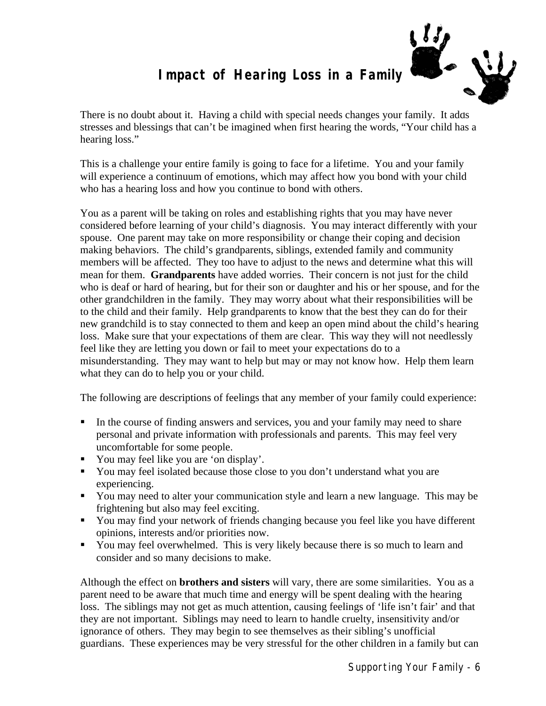# **Impact of Hearing Loss in a Family**



There is no doubt about it. Having a child with special needs changes your family. It adds stresses and blessings that can't be imagined when first hearing the words, "Your child has a hearing loss."

This is a challenge your entire family is going to face for a lifetime. You and your family will experience a continuum of emotions, which may affect how you bond with your child who has a hearing loss and how you continue to bond with others.

You as a parent will be taking on roles and establishing rights that you may have never considered before learning of your child's diagnosis. You may interact differently with your spouse. One parent may take on more responsibility or change their coping and decision making behaviors. The child's grandparents, siblings, extended family and community members will be affected. They too have to adjust to the news and determine what this will mean for them. **Grandparents** have added worries. Their concern is not just for the child who is deaf or hard of hearing, but for their son or daughter and his or her spouse, and for the other grandchildren in the family. They may worry about what their responsibilities will be to the child and their family. Help grandparents to know that the best they can do for their new grandchild is to stay connected to them and keep an open mind about the child's hearing loss. Make sure that your expectations of them are clear. This way they will not needlessly feel like they are letting you down or fail to meet your expectations do to a misunderstanding. They may want to help but may or may not know how. Help them learn what they can do to help you or your child.

The following are descriptions of feelings that any member of your family could experience:

- In the course of finding answers and services, you and your family may need to share personal and private information with professionals and parents. This may feel very uncomfortable for some people.
- You may feel like you are 'on display'.
- You may feel isolated because those close to you don't understand what you are experiencing.
- You may need to alter your communication style and learn a new language. This may be frightening but also may feel exciting.
- ß You may find your network of friends changing because you feel like you have different opinions, interests and/or priorities now.
- You may feel overwhelmed. This is very likely because there is so much to learn and consider and so many decisions to make.

Although the effect on **brothers and sisters** will vary, there are some similarities. You as a parent need to be aware that much time and energy will be spent dealing with the hearing loss. The siblings may not get as much attention, causing feelings of 'life isn't fair' and that they are not important. Siblings may need to learn to handle cruelty, insensitivity and/or ignorance of others. They may begin to see themselves as their sibling's unofficial guardians. These experiences may be very stressful for the other children in a family but can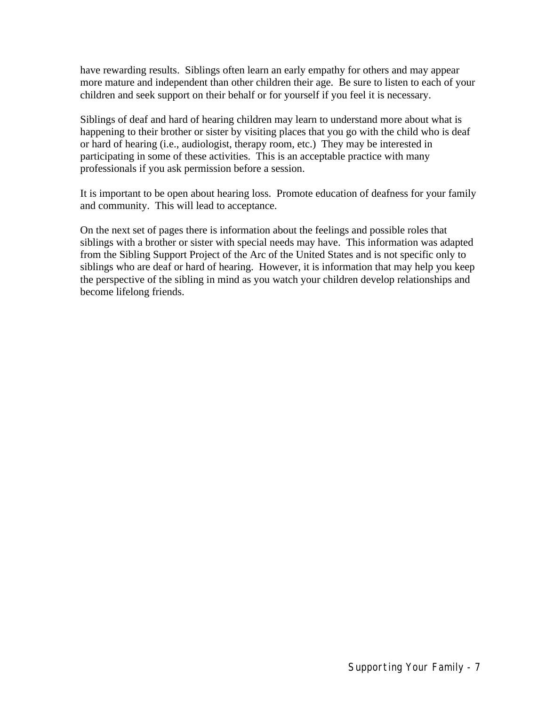have rewarding results. Siblings often learn an early empathy for others and may appear more mature and independent than other children their age. Be sure to listen to each of your children and seek support on their behalf or for yourself if you feel it is necessary.

Siblings of deaf and hard of hearing children may learn to understand more about what is happening to their brother or sister by visiting places that you go with the child who is deaf or hard of hearing (i.e., audiologist, therapy room, etc.) They may be interested in participating in some of these activities. This is an acceptable practice with many professionals if you ask permission before a session.

It is important to be open about hearing loss. Promote education of deafness for your family and community. This will lead to acceptance.

On the next set of pages there is information about the feelings and possible roles that siblings with a brother or sister with special needs may have. This information was adapted from the Sibling Support Project of the Arc of the United States and is not specific only to siblings who are deaf or hard of hearing. However, it is information that may help you keep the perspective of the sibling in mind as you watch your children develop relationships and become lifelong friends.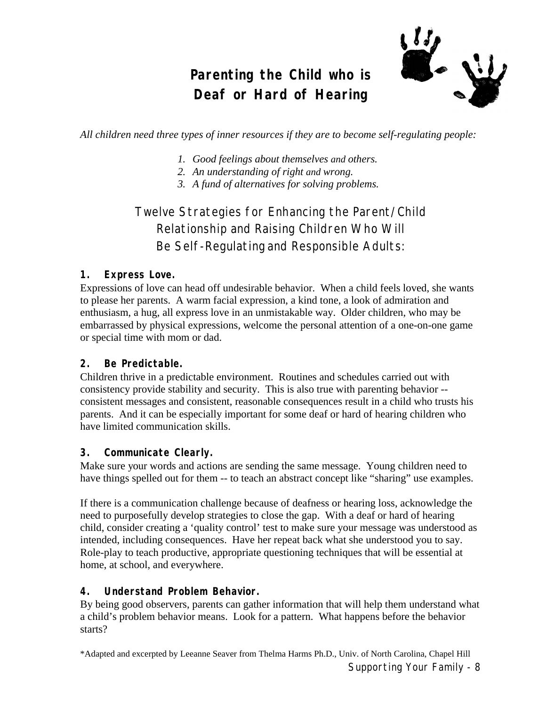# **Parenting the Child who is Deaf or Hard of Hearing**



*All children need three types of inner resources if they are to become self-regulating people:*

- *1. Good feelings about themselves and others.*
- *2. An understanding of right and wrong.*
- *3. A fund of alternatives for solving problems.*

# Twelve Strategies for Enhancing the Parent/Child Relationship and Raising Children Who Will Be Self-Regulating and Responsible Adults:

# **1. Express Love.**

Expressions of love can head off undesirable behavior. When a child feels loved, she wants to please her parents. A warm facial expression, a kind tone, a look of admiration and enthusiasm, a hug, all express love in an unmistakable way. Older children, who may be embarrassed by physical expressions, welcome the personal attention of a one-on-one game or special time with mom or dad.

# **2. Be Predictable.**

Children thrive in a predictable environment. Routines and schedules carried out with consistency provide stability and security. This is also true with parenting behavior - consistent messages and consistent, reasonable consequences result in a child who trusts his parents. And it can be especially important for some deaf or hard of hearing children who have limited communication skills.

# **3. Communicate Clearly.**

Make sure your words and actions are sending the same message. Young children need to have things spelled out for them -- to teach an abstract concept like "sharing" use examples.

If there is a communication challenge because of deafness or hearing loss, acknowledge the need to purposefully develop strategies to close the gap. With a deaf or hard of hearing child, consider creating a 'quality control' test to make sure your message was understood as intended, including consequences. Have her repeat back what she understood you to say. Role-play to teach productive, appropriate questioning techniques that will be essential at home, at school, and everywhere.

# **4. Understand Problem Behavior.**

By being good observers, parents can gather information that will help them understand what a child's problem behavior means. Look for a pattern. What happens before the behavior starts?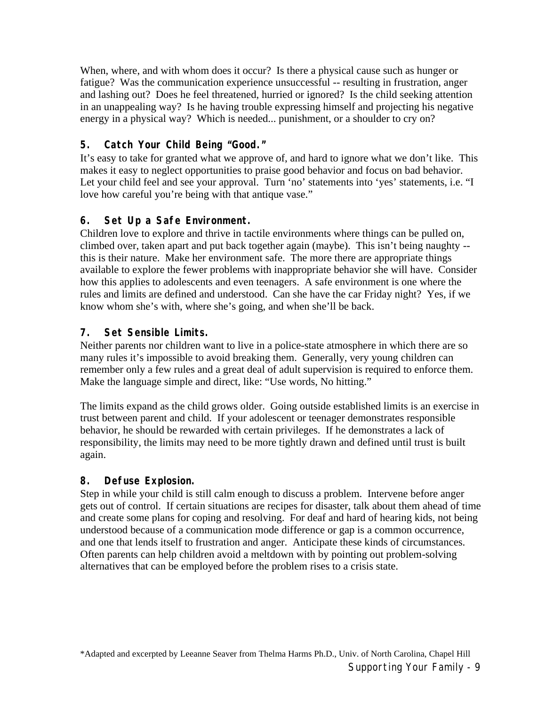When, where, and with whom does it occur? Is there a physical cause such as hunger or fatigue? Was the communication experience unsuccessful -- resulting in frustration, anger and lashing out? Does he feel threatened, hurried or ignored? Is the child seeking attention in an unappealing way? Is he having trouble expressing himself and projecting his negative energy in a physical way? Which is needed... punishment, or a shoulder to cry on?

# **5. Catch Your Child Being "Good."**

It's easy to take for granted what we approve of, and hard to ignore what we don't like. This makes it easy to neglect opportunities to praise good behavior and focus on bad behavior. Let your child feel and see your approval. Turn 'no' statements into 'yes' statements, i.e. "I love how careful you're being with that antique vase."

# **6. Set Up a Safe Environment.**

Children love to explore and thrive in tactile environments where things can be pulled on, climbed over, taken apart and put back together again (maybe). This isn't being naughty - this is their nature. Make her environment safe. The more there are appropriate things available to explore the fewer problems with inappropriate behavior she will have. Consider how this applies to adolescents and even teenagers. A safe environment is one where the rules and limits are defined and understood. Can she have the car Friday night? Yes, if we know whom she's with, where she's going, and when she'll be back.

# **7. Set Sensible Limits.**

Neither parents nor children want to live in a police-state atmosphere in which there are so many rules it's impossible to avoid breaking them. Generally, very young children can remember only a few rules and a great deal of adult supervision is required to enforce them. Make the language simple and direct, like: "Use words, No hitting."

The limits expand as the child grows older. Going outside established limits is an exercise in trust between parent and child. If your adolescent or teenager demonstrates responsible behavior, he should be rewarded with certain privileges. If he demonstrates a lack of responsibility, the limits may need to be more tightly drawn and defined until trust is built again.

# **8. Defuse Explosion.**

Step in while your child is still calm enough to discuss a problem. Intervene before anger gets out of control. If certain situations are recipes for disaster, talk about them ahead of time and create some plans for coping and resolving. For deaf and hard of hearing kids, not being understood because of a communication mode difference or gap is a common occurrence, and one that lends itself to frustration and anger. Anticipate these kinds of circumstances. Often parents can help children avoid a meltdown with by pointing out problem-solving alternatives that can be employed before the problem rises to a crisis state.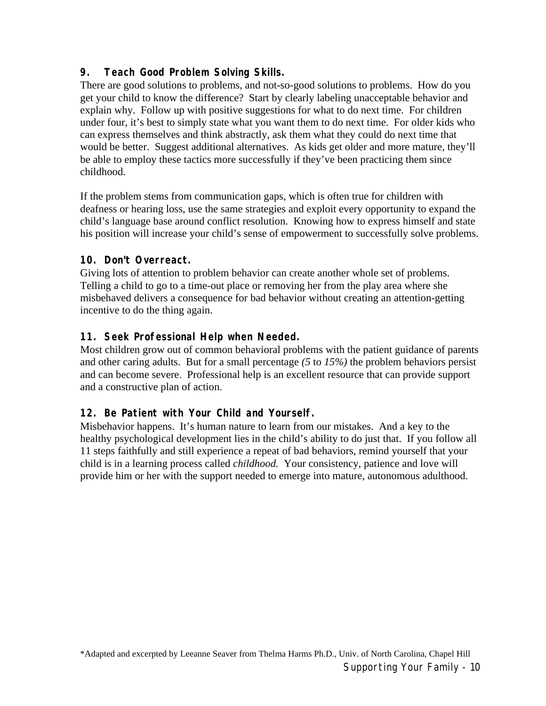# **9. Teach Good Problem Solving Skills.**

There are good solutions to problems, and not-so-good solutions to problems. How do you get your child to know the difference? Start by clearly labeling unacceptable behavior and explain why. Follow up with positive suggestions for what to do next time. For children under four, it's best to simply state what you want them to do next time. For older kids who can express themselves and think abstractly, ask them what they could do next time that would be better. Suggest additional alternatives. As kids get older and more mature, they'll be able to employ these tactics more successfully if they've been practicing them since childhood.

If the problem stems from communication gaps, which is often true for children with deafness or hearing loss, use the same strategies and exploit every opportunity to expand the child's language base around conflict resolution. Knowing how to express himself and state his position will increase your child's sense of empowerment to successfully solve problems.

# **10. Don't Overreact.**

Giving lots of attention to problem behavior can create another whole set of problems. Telling a child to go to a time-out place or removing her from the play area where she misbehaved delivers a consequence for bad behavior without creating an attention-getting incentive to do the thing again.

# **11. Seek Professional Help when Needed.**

Most children grow out of common behavioral problems with the patient guidance of parents and other caring adults. But for a small percentage *(5* to *15%)* the problem behaviors persist and can become severe. Professional help is an excellent resource that can provide support and a constructive plan of action.

## **12. Be Patient with Your Child and Yourself.**

Misbehavior happens. It's human nature to learn from our mistakes. And a key to the healthy psychological development lies in the child's ability to do just that. If you follow all 11 steps faithfully and still experience a repeat of bad behaviors, remind yourself that your child is in a learning process called *childhood.* Your consistency, patience and love will provide him or her with the support needed to emerge into mature, autonomous adulthood.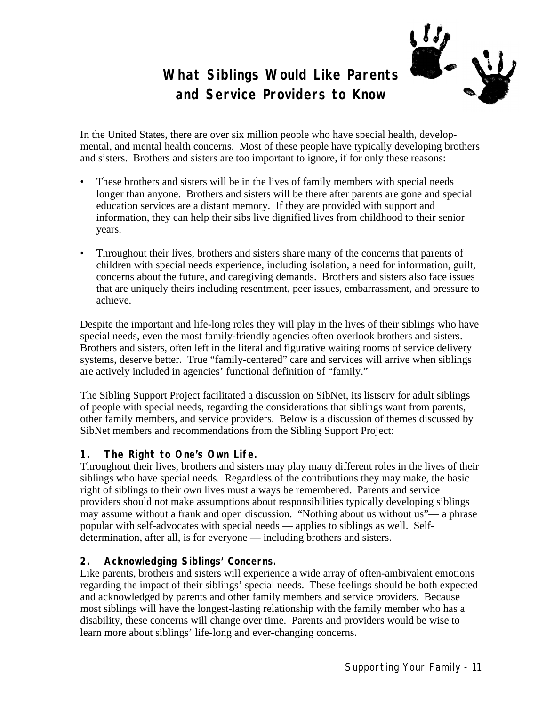# **What Siblings Would Like Parents and Service Providers to Know**



In the United States, there are over six million people who have special health, developmental, and mental health concerns. Most of these people have typically developing brothers and sisters. Brothers and sisters are too important to ignore, if for only these reasons:

- These brothers and sisters will be in the lives of family members with special needs longer than anyone. Brothers and sisters will be there after parents are gone and special education services are a distant memory. If they are provided with support and information, they can help their sibs live dignified lives from childhood to their senior years.
- Throughout their lives, brothers and sisters share many of the concerns that parents of children with special needs experience, including isolation, a need for information, guilt, concerns about the future, and caregiving demands. Brothers and sisters also face issues that are uniquely theirs including resentment, peer issues, embarrassment, and pressure to achieve.

Despite the important and life-long roles they will play in the lives of their siblings who have special needs, even the most family-friendly agencies often overlook brothers and sisters. Brothers and sisters, often left in the literal and figurative waiting rooms of service delivery systems, deserve better. True "family-centered" care and services will arrive when siblings are actively included in agencies' functional definition of "family."

The Sibling Support Project facilitated a discussion on SibNet, its listserv for adult siblings of people with special needs, regarding the considerations that siblings want from parents, other family members, and service providers. Below is a discussion of themes discussed by SibNet members and recommendations from the Sibling Support Project:

# **1. The Right to One's Own Life.**

Throughout their lives, brothers and sisters may play many different roles in the lives of their siblings who have special needs. Regardless of the contributions they may make, the basic right of siblings to their *own* lives must always be remembered. Parents and service providers should not make assumptions about responsibilities typically developing siblings may assume without a frank and open discussion. "Nothing about us without us"— a phrase popular with self-advocates with special needs — applies to siblings as well. Selfdetermination, after all, is for everyone — including brothers and sisters.

## **2. Acknowledging Siblings' Concerns.**

Like parents, brothers and sisters will experience a wide array of often-ambivalent emotions regarding the impact of their siblings' special needs. These feelings should be both expected and acknowledged by parents and other family members and service providers. Because most siblings will have the longest-lasting relationship with the family member who has a disability, these concerns will change over time. Parents and providers would be wise to learn more about siblings' life-long and ever-changing concerns.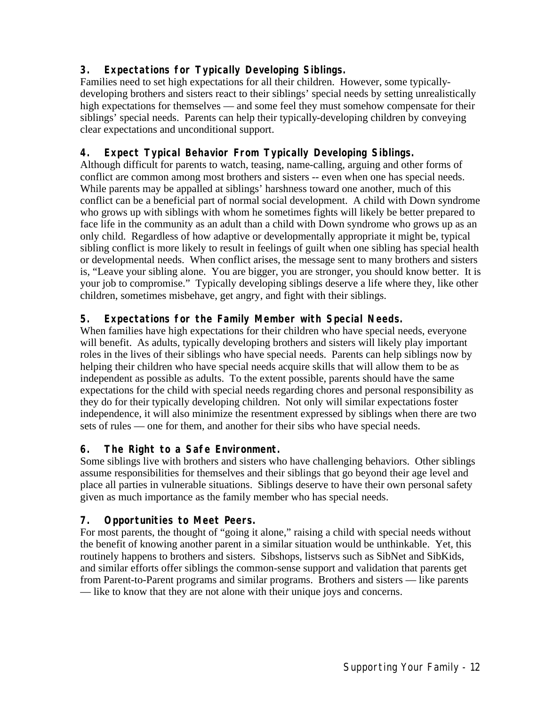# **3. Expectations for Typically Developing Siblings.**

Families need to set high expectations for all their children. However, some typicallydeveloping brothers and sisters react to their siblings' special needs by setting unrealistically high expectations for themselves — and some feel they must somehow compensate for their siblings' special needs. Parents can help their typically-developing children by conveying clear expectations and unconditional support.

# **4. Expect Typical Behavior From Typically Developing Siblings.**

Although difficult for parents to watch, teasing, name-calling, arguing and other forms of conflict are common among most brothers and sisters -- even when one has special needs. While parents may be appalled at siblings' harshness toward one another, much of this conflict can be a beneficial part of normal social development. A child with Down syndrome who grows up with siblings with whom he sometimes fights will likely be better prepared to face life in the community as an adult than a child with Down syndrome who grows up as an only child. Regardless of how adaptive or developmentally appropriate it might be, typical sibling conflict is more likely to result in feelings of guilt when one sibling has special health or developmental needs. When conflict arises, the message sent to many brothers and sisters is, "Leave your sibling alone. You are bigger, you are stronger, you should know better. It is your job to compromise." Typically developing siblings deserve a life where they, like other children, sometimes misbehave, get angry, and fight with their siblings.

# **5. Expectations for the Family Member with Special Needs.**

When families have high expectations for their children who have special needs, everyone will benefit. As adults, typically developing brothers and sisters will likely play important roles in the lives of their siblings who have special needs. Parents can help siblings now by helping their children who have special needs acquire skills that will allow them to be as independent as possible as adults. To the extent possible, parents should have the same expectations for the child with special needs regarding chores and personal responsibility as they do for their typically developing children. Not only will similar expectations foster independence, it will also minimize the resentment expressed by siblings when there are two sets of rules — one for them, and another for their sibs who have special needs.

# **6. The Right to a Safe Environment.**

Some siblings live with brothers and sisters who have challenging behaviors. Other siblings assume responsibilities for themselves and their siblings that go beyond their age level and place all parties in vulnerable situations. Siblings deserve to have their own personal safety given as much importance as the family member who has special needs.

# **7. Opportunities to Meet Peers.**

For most parents, the thought of "going it alone," raising a child with special needs without the benefit of knowing another parent in a similar situation would be unthinkable. Yet, this routinely happens to brothers and sisters. Sibshops, listservs such as SibNet and SibKids, and similar efforts offer siblings the common-sense support and validation that parents get from Parent-to-Parent programs and similar programs. Brothers and sisters — like parents — like to know that they are not alone with their unique joys and concerns.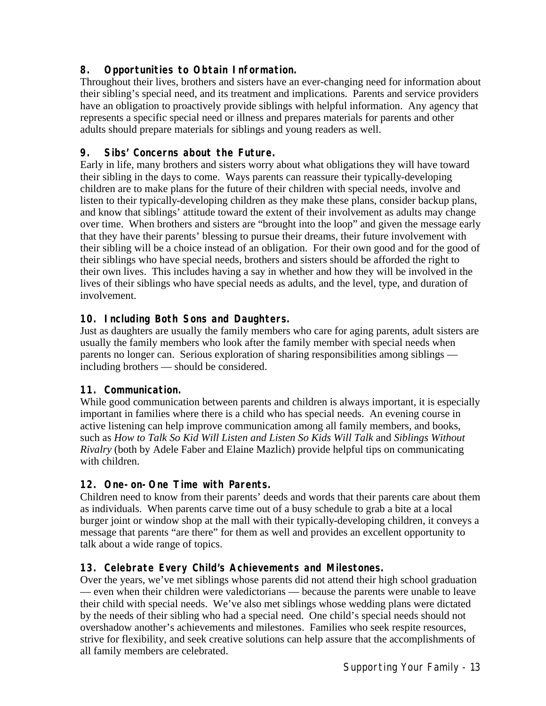# **8. Opportunities to Obtain Information.**

Throughout their lives, brothers and sisters have an ever-changing need for information about their sibling's special need, and its treatment and implications. Parents and service providers have an obligation to proactively provide siblings with helpful information. Any agency that represents a specific special need or illness and prepares materials for parents and other adults should prepare materials for siblings and young readers as well.

# **9. Sibs' Concerns about the Future.**

Early in life, many brothers and sisters worry about what obligations they will have toward their sibling in the days to come. Ways parents can reassure their typically-developing children are to make plans for the future of their children with special needs, involve and listen to their typically-developing children as they make these plans, consider backup plans, and know that siblings' attitude toward the extent of their involvement as adults may change over time. When brothers and sisters are "brought into the loop" and given the message early that they have their parents' blessing to pursue their dreams, their future involvement with their sibling will be a choice instead of an obligation. For their own good and for the good of their siblings who have special needs, brothers and sisters should be afforded the right to their own lives. This includes having a say in whether and how they will be involved in the lives of their siblings who have special needs as adults, and the level, type, and duration of involvement.

# **10. Including Both Sons and Daughters.**

Just as daughters are usually the family members who care for aging parents, adult sisters are usually the family members who look after the family member with special needs when parents no longer can. Serious exploration of sharing responsibilities among siblings including brothers — should be considered.

# **11. Communication.**

While good communication between parents and children is always important, it is especially important in families where there is a child who has special needs. An evening course in active listening can help improve communication among all family members, and books, such as *How to Talk So Kid Will Listen and Listen So Kids Will Talk* and *Siblings Without Rivalry* (both by Adele Faber and Elaine Mazlich) provide helpful tips on communicating with children.

# **12. One-on-One Time with Parents.**

Children need to know from their parents' deeds and words that their parents care about them as individuals. When parents carve time out of a busy schedule to grab a bite at a local burger joint or window shop at the mall with their typically-developing children, it conveys a message that parents "are there" for them as well and provides an excellent opportunity to talk about a wide range of topics.

# **13. Celebrate Every Child's Achievements and Milestones.**

Over the years, we've met siblings whose parents did not attend their high school graduation — even when their children were valedictorians — because the parents were unable to leave their child with special needs. We've also met siblings whose wedding plans were dictated by the needs of their sibling who had a special need. One child's special needs should not overshadow another's achievements and milestones. Families who seek respite resources, strive for flexibility, and seek creative solutions can help assure that the accomplishments of all family members are celebrated.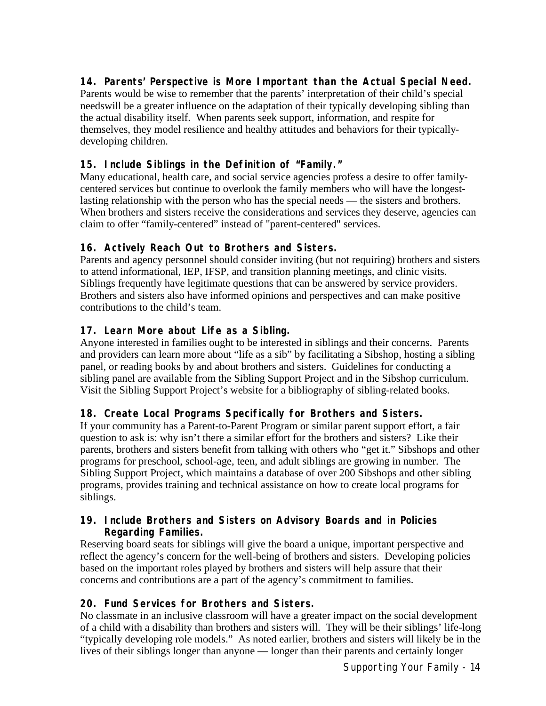# **14. Parents' Perspective is More Important than the Actual Special Need.**

Parents would be wise to remember that the parents' interpretation of their child's special needswill be a greater influence on the adaptation of their typically developing sibling than the actual disability itself. When parents seek support, information, and respite for themselves, they model resilience and healthy attitudes and behaviors for their typicallydeveloping children.

# **15. Include Siblings in the Definition of "Family."**

Many educational, health care, and social service agencies profess a desire to offer familycentered services but continue to overlook the family members who will have the longestlasting relationship with the person who has the special needs — the sisters and brothers. When brothers and sisters receive the considerations and services they deserve, agencies can claim to offer "family-centered" instead of "parent-centered" services.

# **16. Actively Reach Out to Brothers and Sisters.**

Parents and agency personnel should consider inviting (but not requiring) brothers and sisters to attend informational, IEP, IFSP, and transition planning meetings, and clinic visits. Siblings frequently have legitimate questions that can be answered by service providers. Brothers and sisters also have informed opinions and perspectives and can make positive contributions to the child's team.

# **17. Learn More about Life as a Sibling.**

Anyone interested in families ought to be interested in siblings and their concerns. Parents and providers can learn more about "life as a sib" by facilitating a Sibshop, hosting a sibling panel, or reading books by and about brothers and sisters. Guidelines for conducting a sibling panel are available from the Sibling Support Project and in the Sibshop curriculum. Visit the Sibling Support Project's website for a bibliography of sibling-related books.

# **18. Create Local Programs Specifically for Brothers and Sisters.**

If your community has a Parent-to-Parent Program or similar parent support effort, a fair question to ask is: why isn't there a similar effort for the brothers and sisters? Like their parents, brothers and sisters benefit from talking with others who "get it." Sibshops and other programs for preschool, school-age, teen, and adult siblings are growing in number. The Sibling Support Project, which maintains a database of over 200 Sibshops and other sibling programs, provides training and technical assistance on how to create local programs for siblings.

## **19. Include Brothers and Sisters on Advisory Boards and in Policies Regarding Families.**

Reserving board seats for siblings will give the board a unique, important perspective and reflect the agency's concern for the well-being of brothers and sisters. Developing policies based on the important roles played by brothers and sisters will help assure that their concerns and contributions are a part of the agency's commitment to families.

# **20. Fund Services for Brothers and Sisters.**

No classmate in an inclusive classroom will have a greater impact on the social development of a child with a disability than brothers and sisters will. They will be their siblings' life-long "typically developing role models." As noted earlier, brothers and sisters will likely be in the lives of their siblings longer than anyone — longer than their parents and certainly longer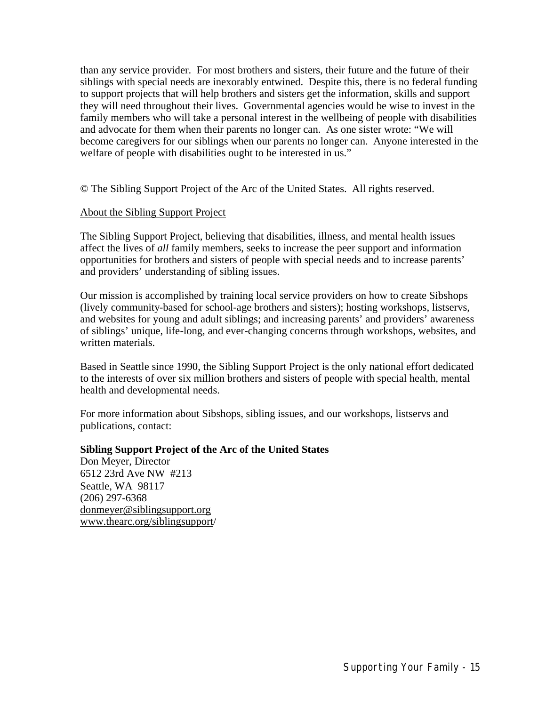than any service provider. For most brothers and sisters, their future and the future of their siblings with special needs are inexorably entwined. Despite this, there is no federal funding to support projects that will help brothers and sisters get the information, skills and support they will need throughout their lives. Governmental agencies would be wise to invest in the family members who will take a personal interest in the wellbeing of people with disabilities and advocate for them when their parents no longer can. As one sister wrote: "We will become caregivers for our siblings when our parents no longer can. Anyone interested in the welfare of people with disabilities ought to be interested in us."

© The Sibling Support Project of the Arc of the United States. All rights reserved.

#### About the Sibling Support Project

The Sibling Support Project, believing that disabilities, illness, and mental health issues affect the lives of *all* family members, seeks to increase the peer support and information opportunities for brothers and sisters of people with special needs and to increase parents' and providers' understanding of sibling issues.

Our mission is accomplished by training local service providers on how to create Sibshops (lively community-based for school-age brothers and sisters); hosting workshops, listservs, and websites for young and adult siblings; and increasing parents' and providers' awareness of siblings' unique, life-long, and ever-changing concerns through workshops, websites, and written materials.

Based in Seattle since 1990, the Sibling Support Project is the only national effort dedicated to the interests of over six million brothers and sisters of people with special health, mental health and developmental needs.

For more information about Sibshops, sibling issues, and our workshops, listservs and publications, contact:

#### **Sibling Support Project of the Arc of the United States**

Don Meyer, Director 6512 23rd Ave NW #213 Seattle, WA 98117 (206) 297-6368 donmeyer@siblingsupport.org www.thearc.org/siblingsupport/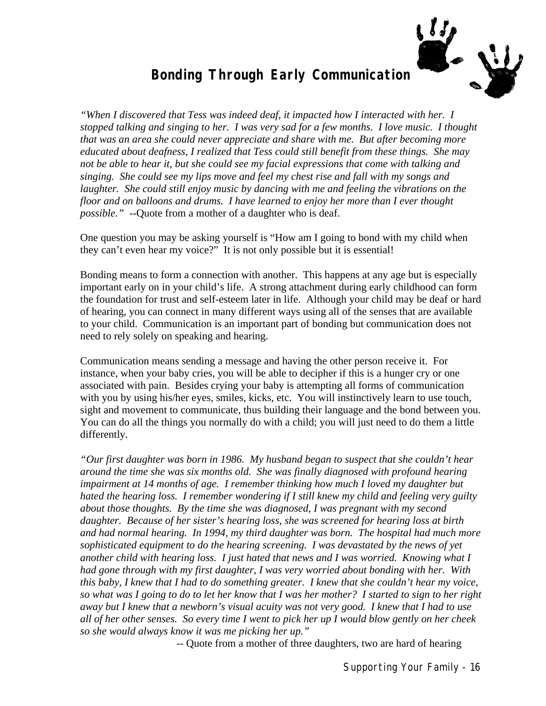# **Bonding Through Early Communication**

*"When I discovered that Tess was indeed deaf, it impacted how I interacted with her. I stopped talking and singing to her. I was very sad for a few months. I love music. I thought that was an area she could never appreciate and share with me. But after becoming more educated about deafness, I realized that Tess could still benefit from these things. She may not be able to hear it, but she could see my facial expressions that come with talking and singing. She could see my lips move and feel my chest rise and fall with my songs and laughter. She could still enjoy music by dancing with me and feeling the vibrations on the floor and on balloons and drums. I have learned to enjoy her more than I ever thought possible."* --Quote from a mother of a daughter who is deaf.

One question you may be asking yourself is "How am I going to bond with my child when they can't even hear my voice?" It is not only possible but it is essential!

Bonding means to form a connection with another. This happens at any age but is especially important early on in your child's life. A strong attachment during early childhood can form the foundation for trust and self-esteem later in life. Although your child may be deaf or hard of hearing, you can connect in many different ways using all of the senses that are available to your child. Communication is an important part of bonding but communication does not need to rely solely on speaking and hearing.

Communication means sending a message and having the other person receive it. For instance, when your baby cries, you will be able to decipher if this is a hunger cry or one associated with pain. Besides crying your baby is attempting all forms of communication with you by using his/her eyes, smiles, kicks, etc. You will instinctively learn to use touch, sight and movement to communicate, thus building their language and the bond between you. You can do all the things you normally do with a child; you will just need to do them a little differently.

*"Our first daughter was born in 1986. My husband began to suspect that she couldn't hear around the time she was six months old. She was finally diagnosed with profound hearing impairment at 14 months of age. I remember thinking how much I loved my daughter but hated the hearing loss. I remember wondering if I still knew my child and feeling very guilty about those thoughts. By the time she was diagnosed, I was pregnant with my second daughter. Because of her sister's hearing loss, she was screened for hearing loss at birth and had normal hearing. In 1994, my third daughter was born. The hospital had much more sophisticated equipment to do the hearing screening. I was devastated by the news of yet another child with hearing loss. I just hated that news and I was worried. Knowing what I had gone through with my first daughter, I was very worried about bonding with her. With this baby, I knew that I had to do something greater. I knew that she couldn't hear my voice, so what was I going to do to let her know that I was her mother? I started to sign to her right away but I knew that a newborn's visual acuity was not very good. I knew that I had to use all of her other senses. So every time I went to pick her up I would blow gently on her cheek so she would always know it was me picking her up."*

-- Quote from a mother of three daughters, two are hard of hearing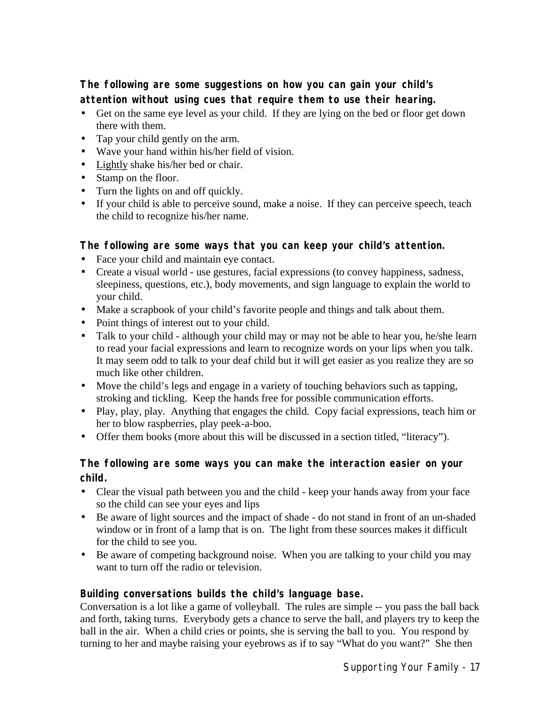# **The following are some suggestions on how you can gain your child's attention without using cues that require them to use their hearing.**

- Get on the same eye level as your child. If they are lying on the bed or floor get down there with them.
- Tap your child gently on the arm.
- Wave your hand within his/her field of vision.
- Lightly shake his/her bed or chair.
- Stamp on the floor.
- Turn the lights on and off quickly.
- If your child is able to perceive sound, make a noise. If they can perceive speech, teach the child to recognize his/her name.

# **The following are some ways that you can keep your child's attention.**

- Face your child and maintain eye contact.
- Create a visual world use gestures, facial expressions (to convey happiness, sadness, sleepiness, questions, etc.), body movements, and sign language to explain the world to your child.
- Make a scrapbook of your child's favorite people and things and talk about them.
- Point things of interest out to your child.
- Talk to your child although your child may or may not be able to hear you, he/she learn to read your facial expressions and learn to recognize words on your lips when you talk. It may seem odd to talk to your deaf child but it will get easier as you realize they are so much like other children.
- Move the child's legs and engage in a variety of touching behaviors such as tapping, stroking and tickling. Keep the hands free for possible communication efforts.
- Play, play, play. Anything that engages the child. Copy facial expressions, teach him or her to blow raspberries, play peek-a-boo.
- Offer them books (more about this will be discussed in a section titled, "literacy").

# **The following are some ways you can make the interaction easier on your child.**

- Clear the visual path between you and the child keep your hands away from your face so the child can see your eyes and lips
- Be aware of light sources and the impact of shade do not stand in front of an un-shaded window or in front of a lamp that is on. The light from these sources makes it difficult for the child to see you.
- Be aware of competing background noise. When you are talking to your child you may want to turn off the radio or television.

# **Building conversations builds the child's language base.**

Conversation is a lot like a game of volleyball. The rules are simple -- you pass the ball back and forth, taking turns. Everybody gets a chance to serve the ball, and players try to keep the ball in the air. When a child cries or points, she is serving the ball to you. You respond by turning to her and maybe raising your eyebrows as if to say "What do you want?" She then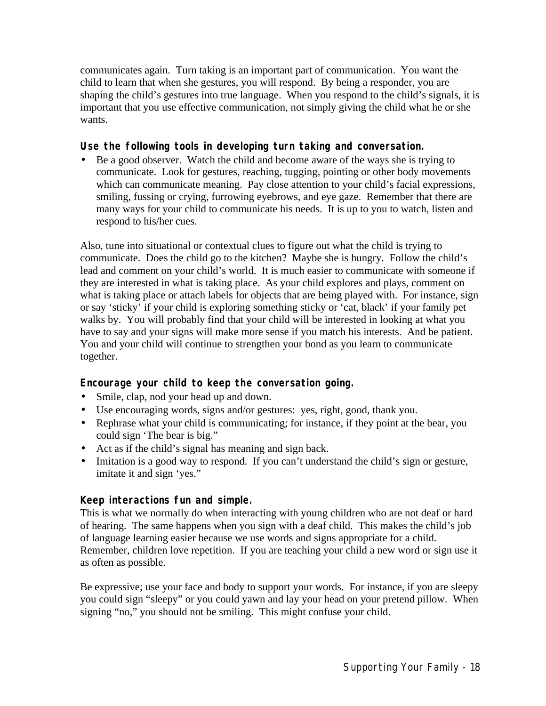communicates again. Turn taking is an important part of communication. You want the child to learn that when she gestures, you will respond. By being a responder, you are shaping the child's gestures into true language. When you respond to the child's signals, it is important that you use effective communication, not simply giving the child what he or she wants.

# **Use the following tools in developing turn taking and conversation.**

• Be a good observer. Watch the child and become aware of the ways she is trying to communicate. Look for gestures, reaching, tugging, pointing or other body movements which can communicate meaning. Pay close attention to your child's facial expressions, smiling, fussing or crying, furrowing eyebrows, and eye gaze. Remember that there are many ways for your child to communicate his needs. It is up to you to watch, listen and respond to his/her cues.

Also, tune into situational or contextual clues to figure out what the child is trying to communicate. Does the child go to the kitchen? Maybe she is hungry. Follow the child's lead and comment on your child's world. It is much easier to communicate with someone if they are interested in what is taking place. As your child explores and plays, comment on what is taking place or attach labels for objects that are being played with. For instance, sign or say 'sticky' if your child is exploring something sticky or 'cat, black' if your family pet walks by. You will probably find that your child will be interested in looking at what you have to say and your signs will make more sense if you match his interests. And be patient. You and your child will continue to strengthen your bond as you learn to communicate together.

# **Encourage your child to keep the conversation going.**

- Smile, clap, nod your head up and down.
- Use encouraging words, signs and/or gestures: yes, right, good, thank you.
- Rephrase what your child is communicating; for instance, if they point at the bear, you could sign 'The bear is big."
- Act as if the child's signal has meaning and sign back.
- Imitation is a good way to respond. If you can't understand the child's sign or gesture, imitate it and sign 'yes."

# **Keep interactions fun and simple.**

This is what we normally do when interacting with young children who are not deaf or hard of hearing. The same happens when you sign with a deaf child. This makes the child's job of language learning easier because we use words and signs appropriate for a child. Remember, children love repetition. If you are teaching your child a new word or sign use it as often as possible.

Be expressive; use your face and body to support your words. For instance, if you are sleepy you could sign "sleepy" or you could yawn and lay your head on your pretend pillow. When signing "no," you should not be smiling. This might confuse your child.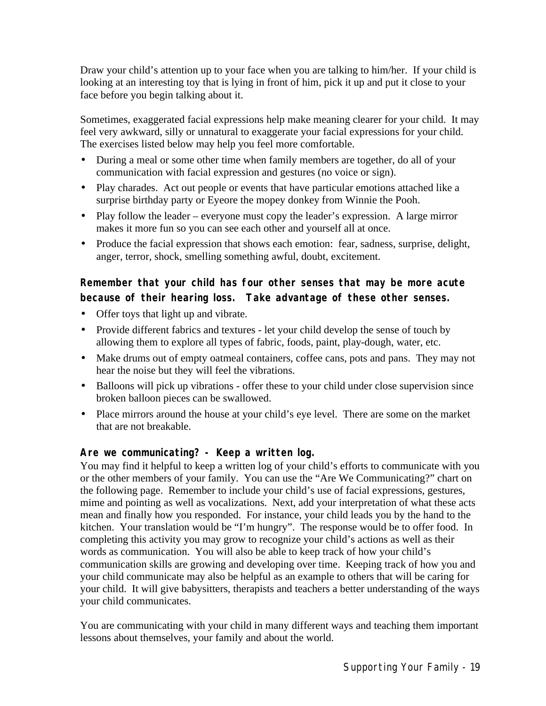Draw your child's attention up to your face when you are talking to him/her. If your child is looking at an interesting toy that is lying in front of him, pick it up and put it close to your face before you begin talking about it.

Sometimes, exaggerated facial expressions help make meaning clearer for your child. It may feel very awkward, silly or unnatural to exaggerate your facial expressions for your child. The exercises listed below may help you feel more comfortable.

- During a meal or some other time when family members are together, do all of your communication with facial expression and gestures (no voice or sign).
- Play charades. Act out people or events that have particular emotions attached like a surprise birthday party or Eyeore the mopey donkey from Winnie the Pooh.
- Play follow the leader everyone must copy the leader's expression. A large mirror makes it more fun so you can see each other and yourself all at once.
- Produce the facial expression that shows each emotion: fear, sadness, surprise, delight, anger, terror, shock, smelling something awful, doubt, excitement.

# **Remember that your child has four other senses that may be more acute because of their hearing loss. Take advantage of these other senses.**

- Offer toys that light up and vibrate.
- Provide different fabrics and textures let your child develop the sense of touch by allowing them to explore all types of fabric, foods, paint, play-dough, water, etc.
- Make drums out of empty oatmeal containers, coffee cans, pots and pans. They may not hear the noise but they will feel the vibrations.
- Balloons will pick up vibrations offer these to your child under close supervision since broken balloon pieces can be swallowed.
- Place mirrors around the house at your child's eye level. There are some on the market that are not breakable.

## **Are we communicating? - Keep a written log.**

You may find it helpful to keep a written log of your child's efforts to communicate with you or the other members of your family. You can use the "Are We Communicating?" chart on the following page. Remember to include your child's use of facial expressions, gestures, mime and pointing as well as vocalizations. Next, add your interpretation of what these acts mean and finally how you responded. For instance, your child leads you by the hand to the kitchen. Your translation would be "I'm hungry". The response would be to offer food. In completing this activity you may grow to recognize your child's actions as well as their words as communication. You will also be able to keep track of how your child's communication skills are growing and developing over time. Keeping track of how you and your child communicate may also be helpful as an example to others that will be caring for your child. It will give babysitters, therapists and teachers a better understanding of the ways your child communicates.

You are communicating with your child in many different ways and teaching them important lessons about themselves, your family and about the world.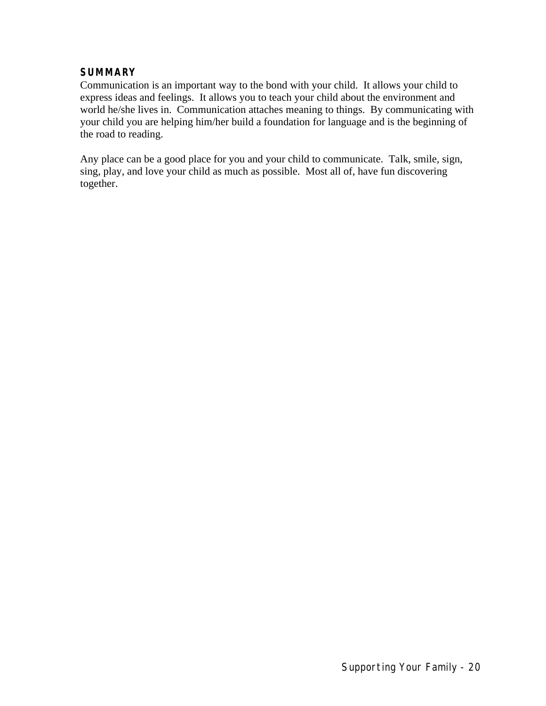# **SUMMARY**

Communication is an important way to the bond with your child. It allows your child to express ideas and feelings. It allows you to teach your child about the environment and world he/she lives in. Communication attaches meaning to things. By communicating with your child you are helping him/her build a foundation for language and is the beginning of the road to reading.

Any place can be a good place for you and your child to communicate. Talk, smile, sign, sing, play, and love your child as much as possible. Most all of, have fun discovering together.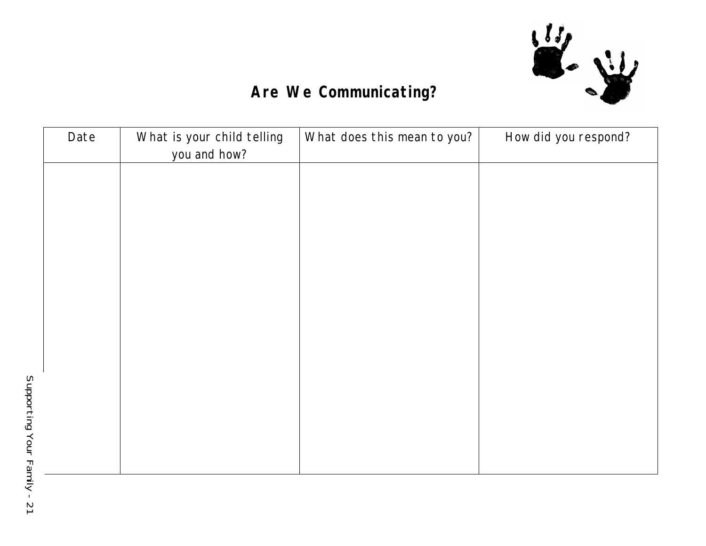

# **Are We Communicating?**

| Date | What is your child telling<br>you and how? | What does this mean to you? | How did you respond? |
|------|--------------------------------------------|-----------------------------|----------------------|
|      |                                            |                             |                      |
|      |                                            |                             |                      |
|      |                                            |                             |                      |
|      |                                            |                             |                      |
|      |                                            |                             |                      |
|      |                                            |                             |                      |
|      |                                            |                             |                      |
|      |                                            |                             |                      |
|      |                                            |                             |                      |
|      |                                            |                             |                      |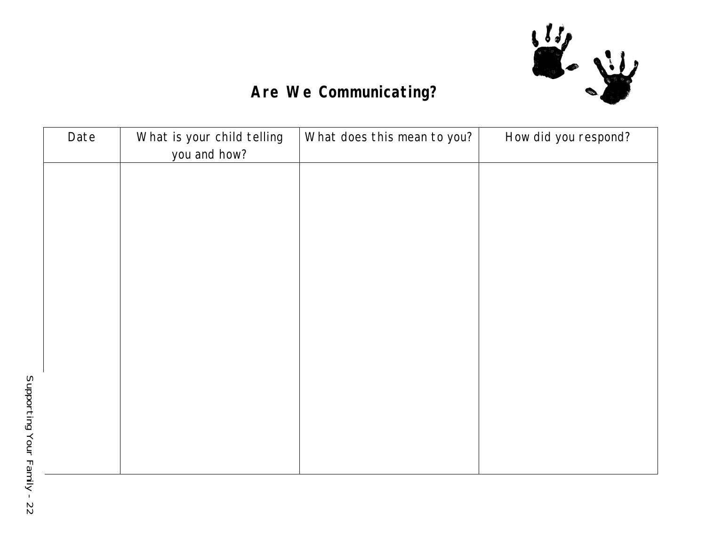

# **Are We Communicating?**

| Date | What is your child telling<br>you and how? | What does this mean to you? | How did you respond? |
|------|--------------------------------------------|-----------------------------|----------------------|
|      |                                            |                             |                      |
|      |                                            |                             |                      |
|      |                                            |                             |                      |
|      |                                            |                             |                      |
|      |                                            |                             |                      |
|      |                                            |                             |                      |
|      |                                            |                             |                      |
|      |                                            |                             |                      |
|      |                                            |                             |                      |
|      |                                            |                             |                      |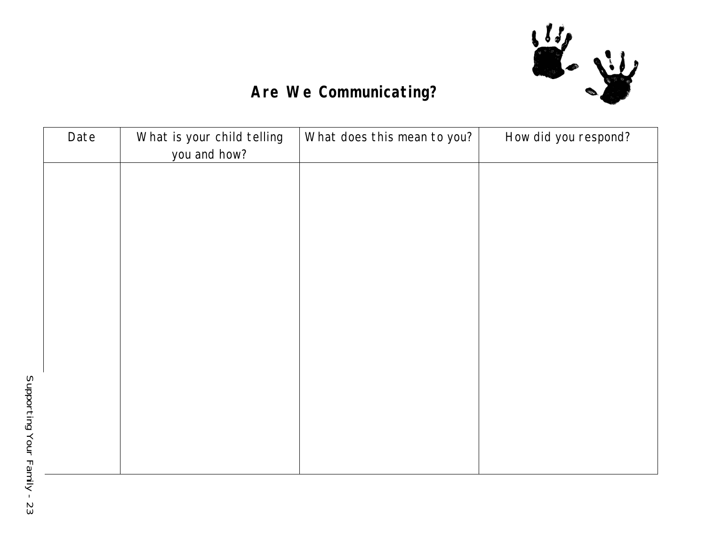

# **Are We Communicating?**

| Date | What is your child telling<br>you and how? | What does this mean to you? | How did you respond? |
|------|--------------------------------------------|-----------------------------|----------------------|
|      |                                            |                             |                      |
|      |                                            |                             |                      |
|      |                                            |                             |                      |
|      |                                            |                             |                      |
|      |                                            |                             |                      |
|      |                                            |                             |                      |
|      |                                            |                             |                      |
|      |                                            |                             |                      |
|      |                                            |                             |                      |
|      |                                            |                             |                      |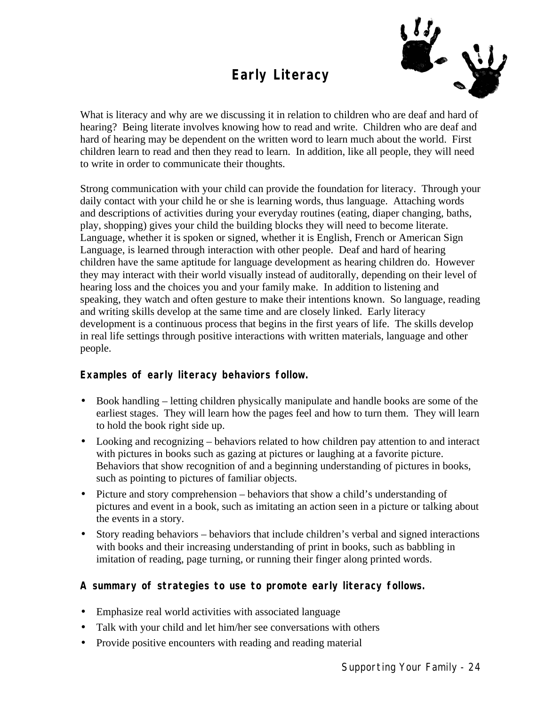# **Early Literacy**



What is literacy and why are we discussing it in relation to children who are deaf and hard of hearing? Being literate involves knowing how to read and write. Children who are deaf and hard of hearing may be dependent on the written word to learn much about the world. First children learn to read and then they read to learn. In addition, like all people, they will need to write in order to communicate their thoughts.

Strong communication with your child can provide the foundation for literacy. Through your daily contact with your child he or she is learning words, thus language. Attaching words and descriptions of activities during your everyday routines (eating, diaper changing, baths, play, shopping) gives your child the building blocks they will need to become literate. Language, whether it is spoken or signed, whether it is English, French or American Sign Language, is learned through interaction with other people. Deaf and hard of hearing children have the same aptitude for language development as hearing children do. However they may interact with their world visually instead of auditorally, depending on their level of hearing loss and the choices you and your family make. In addition to listening and speaking, they watch and often gesture to make their intentions known. So language, reading and writing skills develop at the same time and are closely linked. Early literacy development is a continuous process that begins in the first years of life. The skills develop in real life settings through positive interactions with written materials, language and other people.

# **Examples of early literacy behaviors follow.**

- Book handling letting children physically manipulate and handle books are some of the earliest stages. They will learn how the pages feel and how to turn them. They will learn to hold the book right side up.
- Looking and recognizing behaviors related to how children pay attention to and interact with pictures in books such as gazing at pictures or laughing at a favorite picture. Behaviors that show recognition of and a beginning understanding of pictures in books, such as pointing to pictures of familiar objects.
- Picture and story comprehension behaviors that show a child's understanding of pictures and event in a book, such as imitating an action seen in a picture or talking about the events in a story.
- Story reading behaviors behaviors that include children's verbal and signed interactions with books and their increasing understanding of print in books, such as babbling in imitation of reading, page turning, or running their finger along printed words.

# **A summary of strategies to use to promote early literacy follows.**

- Emphasize real world activities with associated language
- Talk with your child and let him/her see conversations with others
- Provide positive encounters with reading and reading material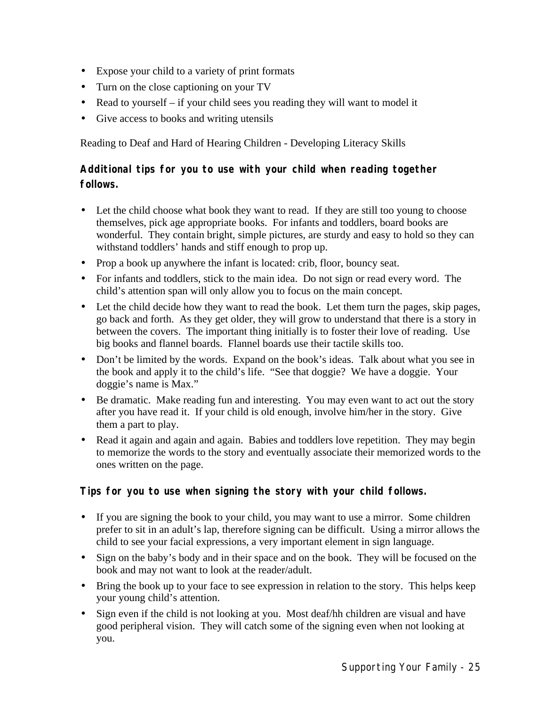- Expose your child to a variety of print formats
- Turn on the close captioning on your TV
- Read to yourself if your child sees you reading they will want to model it
- Give access to books and writing utensils

Reading to Deaf and Hard of Hearing Children - Developing Literacy Skills

# **Additional tips for you to use with your child when reading together follows.**

- Let the child choose what book they want to read. If they are still too young to choose themselves, pick age appropriate books. For infants and toddlers, board books are wonderful. They contain bright, simple pictures, are sturdy and easy to hold so they can withstand toddlers' hands and stiff enough to prop up.
- Prop a book up anywhere the infant is located: crib, floor, bouncy seat.
- For infants and toddlers, stick to the main idea. Do not sign or read every word. The child's attention span will only allow you to focus on the main concept.
- Let the child decide how they want to read the book. Let them turn the pages, skip pages, go back and forth. As they get older, they will grow to understand that there is a story in between the covers. The important thing initially is to foster their love of reading. Use big books and flannel boards. Flannel boards use their tactile skills too.
- Don't be limited by the words. Expand on the book's ideas. Talk about what you see in the book and apply it to the child's life. "See that doggie? We have a doggie. Your doggie's name is Max."
- Be dramatic. Make reading fun and interesting. You may even want to act out the story after you have read it. If your child is old enough, involve him/her in the story. Give them a part to play.
- Read it again and again and again. Babies and toddlers love repetition. They may begin to memorize the words to the story and eventually associate their memorized words to the ones written on the page.

# **Tips for you to use when signing the story with your child follows.**

- If you are signing the book to your child, you may want to use a mirror. Some children prefer to sit in an adult's lap, therefore signing can be difficult. Using a mirror allows the child to see your facial expressions, a very important element in sign language.
- Sign on the baby's body and in their space and on the book. They will be focused on the book and may not want to look at the reader/adult.
- Bring the book up to your face to see expression in relation to the story. This helps keep your young child's attention.
- Sign even if the child is not looking at you. Most deaf/hh children are visual and have good peripheral vision. They will catch some of the signing even when not looking at you.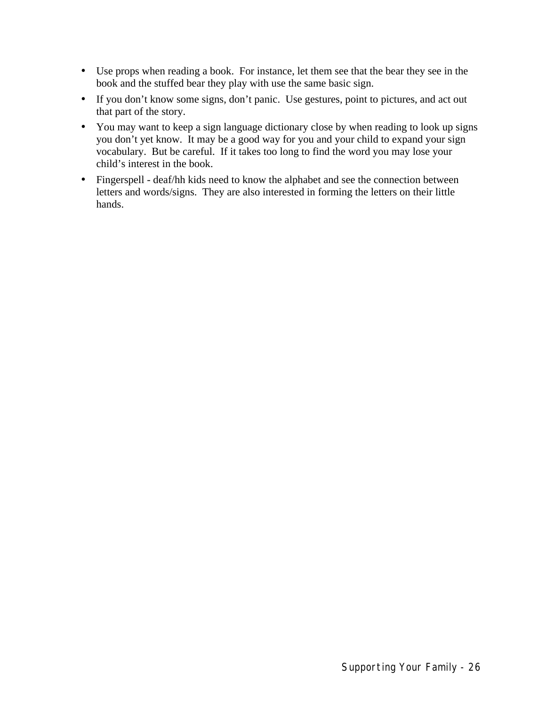- Use props when reading a book. For instance, let them see that the bear they see in the book and the stuffed bear they play with use the same basic sign.
- If you don't know some signs, don't panic. Use gestures, point to pictures, and act out that part of the story.
- You may want to keep a sign language dictionary close by when reading to look up signs you don't yet know. It may be a good way for you and your child to expand your sign vocabulary. But be careful. If it takes too long to find the word you may lose your child's interest in the book.
- Fingerspell deaf/hh kids need to know the alphabet and see the connection between letters and words/signs. They are also interested in forming the letters on their little hands.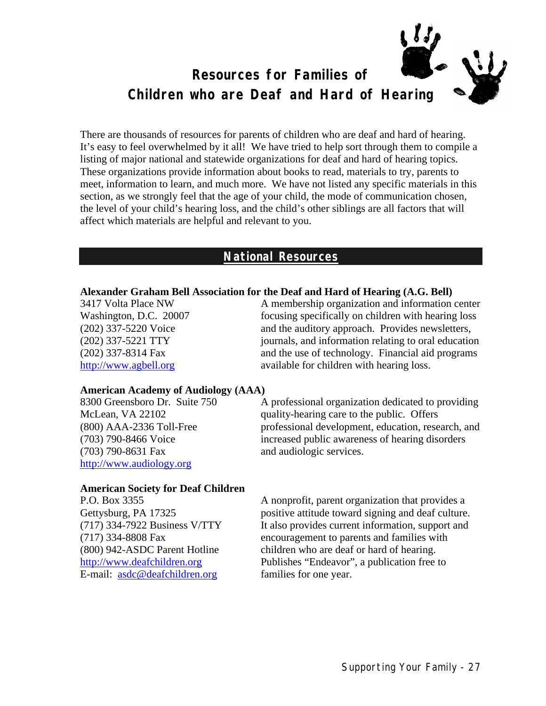# **Resources for Families of Children who are Deaf and Hard of Hearing**

There are thousands of resources for parents of children who are deaf and hard of hearing. It's easy to feel overwhelmed by it all! We have tried to help sort through them to compile a listing of major national and statewide organizations for deaf and hard of hearing topics. These organizations provide information about books to read, materials to try, parents to meet, information to learn, and much more. We have not listed any specific materials in this section, as we strongly feel that the age of your child, the mode of communication chosen, the level of your child's hearing loss, and the child's other siblings are all factors that will affect which materials are helpful and relevant to you.

# **National Resources**

### **Alexander Graham Bell Association for the Deaf and Hard of Hearing (A.G. Bell)**

3417 Volta Place NW Washington, D.C. 20007 (202) 337-5220 Voice (202) 337-5221 TTY (202) 337-8314 Fax http://www.agbell.org

A membership organization and information center focusing specifically on children with hearing loss and the auditory approach. Provides newsletters, journals, and information relating to oral education and the use of technology. Financial aid programs available for children with hearing loss.

## **American Academy of Audiology (AAA)**

8300 Greensboro Dr. Suite 750 McLean, VA 22102 (800) AAA-2336 Toll-Free (703) 790-8466 Voice (703) 790-8631 Fax http://www.audiology.org

#### **American Society for Deaf Children**

P.O. Box 3355 Gettysburg, PA 17325 (717) 334-7922 Business V/TTY (717) 334-8808 Fax (800) 942-ASDC Parent Hotline http://www.deafchildren.org E-mail: asdc@deafchildren.org

A professional organization dedicated to providing quality-hearing care to the public. Offers professional development, education, research, and increased public awareness of hearing disorders and audiologic services.

A nonprofit, parent organization that provides a positive attitude toward signing and deaf culture. It also provides current information, support and encouragement to parents and families with children who are deaf or hard of hearing. Publishes "Endeavor", a publication free to families for one year.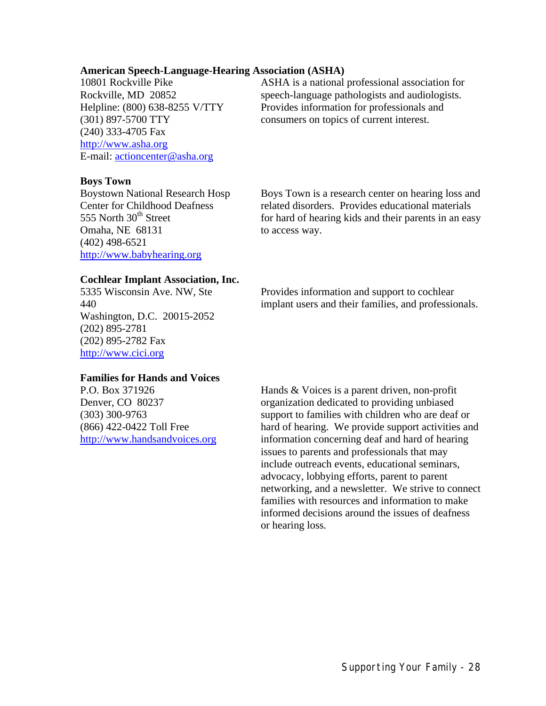#### **American Speech-Language-Hearing Association (ASHA)**

10801 Rockville Pike Rockville, MD 20852 Helpline: (800) 638-8255 V/TTY (301) 897-5700 TTY (240) 333-4705 Fax http://www.asha.org E-mail: actioncenter@asha.org

#### **Boys Town**

Boystown National Research Hosp Center for Childhood Deafness 555 North 30<sup>th</sup> Street Omaha, NE 68131 (402) 498-6521 http://www.babyhearing.org

#### **Cochlear Implant Association, Inc.**

5335 Wisconsin Ave. NW, Ste 440 Washington, D.C. 20015-2052 (202) 895-2781 (202) 895-2782 Fax http://www.cici.org

#### **Families for Hands and Voices**

P.O. Box 371926 Denver, CO 80237 (303) 300-9763 (866) 422-0422 Toll Free http://www.handsandvoices.org ASHA is a national professional association for speech-language pathologists and audiologists. Provides information for professionals and consumers on topics of current interest.

Boys Town is a research center on hearing loss and related disorders. Provides educational materials for hard of hearing kids and their parents in an easy to access way.

Provides information and support to cochlear implant users and their families, and professionals.

Hands & Voices is a parent driven, non-profit organization dedicated to providing unbiased support to families with children who are deaf or hard of hearing. We provide support activities and information concerning deaf and hard of hearing issues to parents and professionals that may include outreach events, educational seminars, advocacy, lobbying efforts, parent to parent networking, and a newsletter. We strive to connect families with resources and information to make informed decisions around the issues of deafness or hearing loss.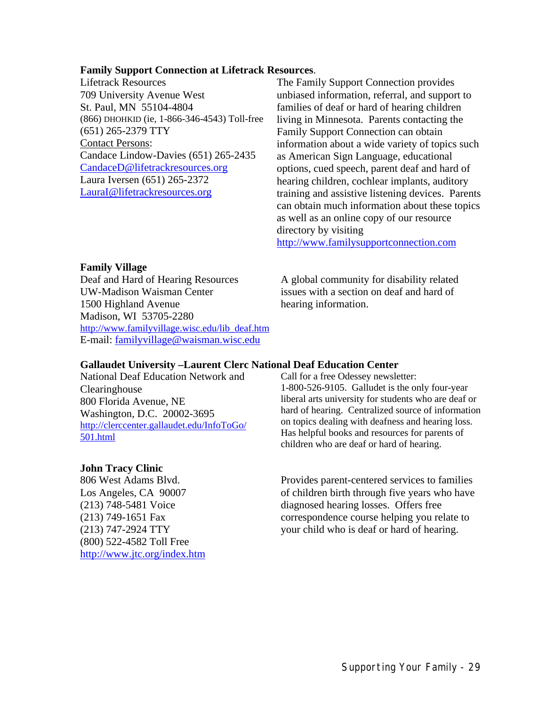#### **Family Support Connection at Lifetrack Resources**.

Lifetrack Resources 709 University Avenue West St. Paul, MN 55104-4804 (866) DHOHKID (ie, 1-866-346-4543) Toll-free (651) 265-2379 TTY Contact Persons: Candace Lindow-Davies (651) 265-2435 CandaceD@lifetrackresources.org Laura Iversen (651) 265-2372 LauraI@lifetrackresources.org

The Family Support Connection provides unbiased information, referral, and support to families of deaf or hard of hearing children living in Minnesota. Parents contacting the Family Support Connection can obtain information about a wide variety of topics such as American Sign Language, educational options, cued speech, parent deaf and hard of hearing children, cochlear implants, auditory training and assistive listening devices. Parents can obtain much information about these topics as well as an online copy of our resource directory by visiting http://www.familysupportconnection.com

#### **Family Village**

Deaf and Hard of Hearing Resources UW-Madison Waisman Center 1500 Highland Avenue Madison, WI 53705-2280 http://www.familyvillage.wisc.edu/lib\_deaf.htm E-mail: familyvillage@waisman.wisc.edu

A global community for disability related issues with a section on deaf and hard of hearing information.

#### **Gallaudet University –Laurent Clerc National Deaf Education Center**

National Deaf Education Network and Clearinghouse 800 Florida Avenue, NE Washington, D.C. 20002-3695 http://clerccenter.gallaudet.edu/InfoToGo/ 501.html

#### **John Tracy Clinic**

806 West Adams Blvd. Los Angeles, CA 90007 (213) 748-5481 Voice (213) 749-1651 Fax (213) 747-2924 TTY (800) 522-4582 Toll Free http://www.jtc.org/index.htm Call for a free Odessey newsletter: 1-800-526-9105. Galludet is the only four-year liberal arts university for students who are deaf or hard of hearing. Centralized source of information on topics dealing with deafness and hearing loss. Has helpful books and resources for parents of children who are deaf or hard of hearing.

Provides parent-centered services to families of children birth through five years who have diagnosed hearing losses. Offers free correspondence course helping you relate to your child who is deaf or hard of hearing.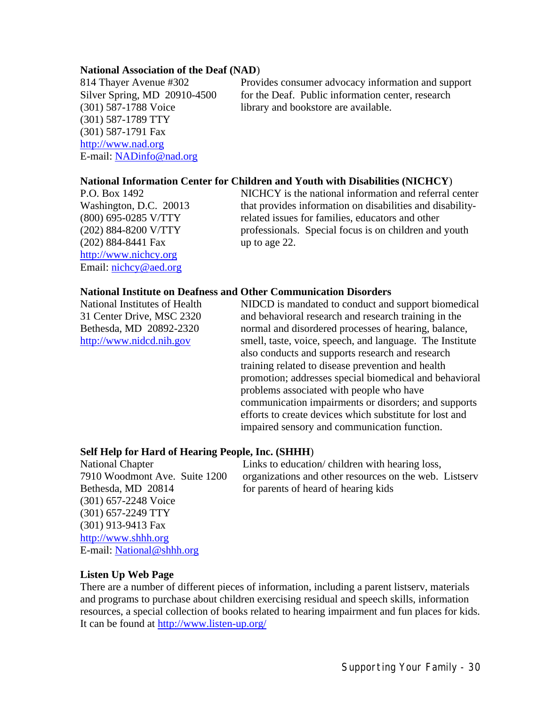#### **National Association of the Deaf (NAD**)

814 Thayer Avenue #302 Silver Spring, MD 20910-4500 (301) 587-1788 Voice (301) 587-1789 TTY (301) 587-1791 Fax http://www.nad.org E-mail: NADinfo@nad.org

Provides consumer advocacy information and support for the Deaf. Public information center, research library and bookstore are available.

#### **National Information Center for Children and Youth with Disabilities (NICHCY**)

P.O. Box 1492 Washington, D.C. 20013 (800) 695-0285 V/TTY (202) 884-8200 V/TTY (202) 884-8441 Fax http://www.nichcy.org Email: nichcy@aed.org

NICHCY is the national information and referral center that provides information on disabilities and disabilityrelated issues for families, educators and other professionals. Special focus is on children and youth up to age 22.

#### **National Institute on Deafness and Other Communication Disorders**

National Institutes of Health 31 Center Drive, MSC 2320 Bethesda, MD 20892-2320 http://www.nidcd.nih.gov

NIDCD is mandated to conduct and support biomedical and behavioral research and research training in the normal and disordered processes of hearing, balance, smell, taste, voice, speech, and language. The Institute also conducts and supports research and research training related to disease prevention and health promotion; addresses special biomedical and behavioral problems associated with people who have communication impairments or disorders; and supports efforts to create devices which substitute for lost and impaired sensory and communication function.

#### **Self Help for Hard of Hearing People, Inc. (SHHH**)

National Chapter 7910 Woodmont Ave. Suite 1200 Bethesda, MD 20814 (301) 657-2248 Voice (301) 657-2249 TTY (301) 913-9413 Fax http://www.shhh.org E-mail: National@shhh.org

Links to education/ children with hearing loss, organizations and other resources on the web. Listserv for parents of heard of hearing kids

#### **Listen Up Web Page**

There are a number of different pieces of information, including a parent listserv, materials and programs to purchase about children exercising residual and speech skills, information resources, a special collection of books related to hearing impairment and fun places for kids. It can be found at http://www.listen-up.org/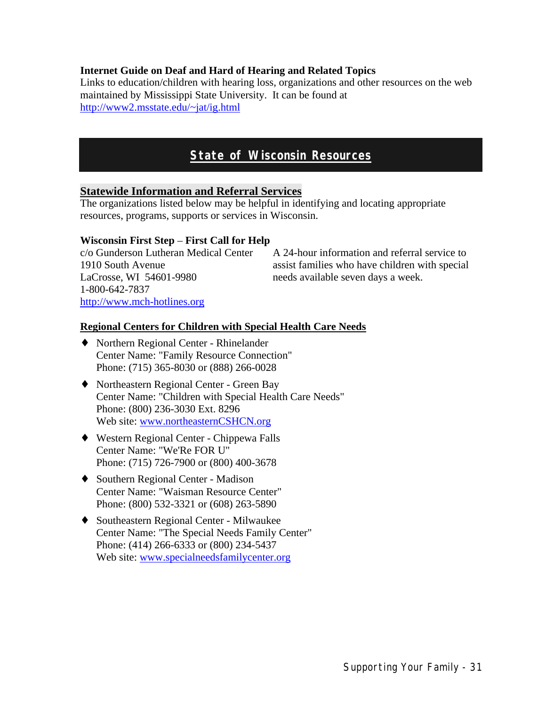#### **Internet Guide on Deaf and Hard of Hearing and Related Topics**

Links to education/children with hearing loss, organizations and other resources on the web maintained by Mississippi State University. It can be found at http://www2.msstate.edu/~jat/ig.html

# **State of Wisconsin Resources**

### **Statewide Information and Referral Services**

The organizations listed below may be helpful in identifying and locating appropriate resources, programs, supports or services in Wisconsin.

#### **Wisconsin First Step** – **First Call for Help**

c/o Gunderson Lutheran Medical Center 1910 South Avenue LaCrosse, WI 54601-9980 1-800-642-7837 http://www.mch-hotlines.org

A 24-hour information and referral service to assist families who have children with special needs available seven days a week.

#### **Regional Centers for Children with Special Health Care Needs**

- ♦ Northern Regional Center Rhinelander Center Name: "Family Resource Connection" Phone: (715) 365-8030 or (888) 266-0028
- ♦ Northeastern Regional Center Green Bay Center Name: "Children with Special Health Care Needs" Phone: (800) 236-3030 Ext. 8296 Web site: www.northeasternCSHCN.org
- ♦ Western Regional Center Chippewa Falls Center Name: "We'Re FOR U" Phone: (715) 726-7900 or (800) 400-3678
- ♦ Southern Regional Center Madison Center Name: "Waisman Resource Center" Phone: (800) 532-3321 or (608) 263-5890
- ♦ Southeastern Regional Center Milwaukee Center Name: "The Special Needs Family Center" Phone: (414) 266-6333 or (800) 234-5437 Web site: www.specialneedsfamilycenter.org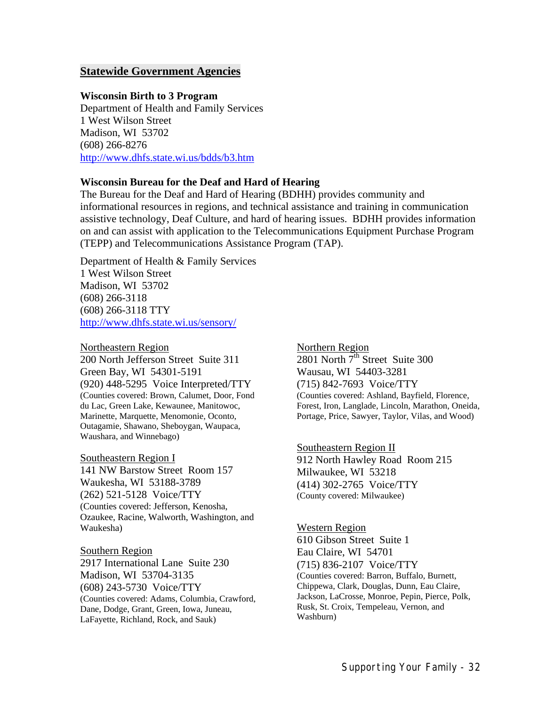#### **Statewide Government Agencies**

#### **Wisconsin Birth to 3 Program**

Department of Health and Family Services 1 West Wilson Street Madison, WI 53702 (608) 266-8276 http://www.dhfs.state.wi.us/bdds/b3.htm

#### **Wisconsin Bureau for the Deaf and Hard of Hearing**

The Bureau for the Deaf and Hard of Hearing (BDHH) provides community and informational resources in regions, and technical assistance and training in communication assistive technology, Deaf Culture, and hard of hearing issues. BDHH provides information on and can assist with application to the Telecommunications Equipment Purchase Program (TEPP) and Telecommunications Assistance Program (TAP).

Department of Health & Family Services 1 West Wilson Street Madison, WI 53702 (608) 266-3118 (608) 266-3118 TTY http://www.dhfs.state.wi.us/sensory/

Northeastern Region 200 North Jefferson Street Suite 311 Green Bay, WI 54301-5191 (920) 448-5295 Voice Interpreted/TTY (Counties covered: Brown, Calumet, Door, Fond du Lac, Green Lake, Kewaunee, Manitowoc, Marinette, Marquette, Menomonie, Oconto, Outagamie, Shawano, Sheboygan, Waupaca, Waushara, and Winnebago)

Southeastern Region I 141 NW Barstow Street Room 157 Waukesha, WI 53188-3789 (262) 521-5128 Voice/TTY (Counties covered: Jefferson, Kenosha, Ozaukee, Racine, Walworth, Washington, and Waukesha)

Southern Region 2917 International Lane Suite 230 Madison, WI 53704-3135 (608) 243-5730 Voice/TTY (Counties covered: Adams, Columbia, Crawford, Dane, Dodge, Grant, Green, Iowa, Juneau, LaFayette, Richland, Rock, and Sauk)

Northern Region  $2801$  North  $7<sup>th</sup>$  Street Suite 300 Wausau, WI 54403-3281 (715) 842-7693 Voice/TTY (Counties covered: Ashland, Bayfield, Florence, Forest, Iron, Langlade, Lincoln, Marathon, Oneida, Portage, Price, Sawyer, Taylor, Vilas, and Wood)

Southeastern Region II 912 North Hawley Road Room 215 Milwaukee, WI 53218 (414) 302-2765 Voice/TTY (County covered: Milwaukee)

Western Region 610 Gibson Street Suite 1 Eau Claire, WI 54701 (715) 836-2107 Voice/TTY (Counties covered: Barron, Buffalo, Burnett, Chippewa, Clark, Douglas, Dunn, Eau Claire, Jackson, LaCrosse, Monroe, Pepin, Pierce, Polk, Rusk, St. Croix, Tempeleau, Vernon, and Washburn)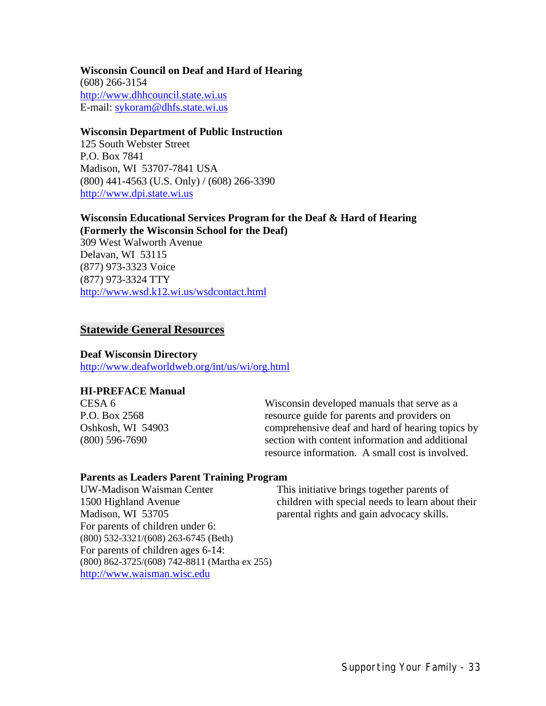**Wisconsin Council on Deaf and Hard of Hearing** (608) 266-3154 http://www.dhhcouncil.state.wi.us E-mail: sykoram@dhfs.state.wi.us

#### **Wisconsin Department of Public Instruction**

125 South Webster Street P.O. Box 7841 Madison, WI 53707-7841 USA (800) 441-4563 (U.S. Only) / (608) 266-3390 http://www.dpi.state.wi.us

#### **Wisconsin Educational Services Program for the Deaf & Hard of Hearing (Formerly the Wisconsin School for the Deaf)**

309 West Walworth Avenue Delavan, WI 53115 (877) 973-3323 Voice (877) 973-3324 TTY http://www.wsd.k12.wi.us/wsdcontact.html

#### **Statewide General Resources**

#### **Deaf Wisconsin Directory**

http://www.deafworldweb.org/int/us/wi/org.html

#### **HI-PREFACE Manual**

CESA 6 P.O. Box 2568 Oshkosh, WI 54903 (800) 596-7690

Wisconsin developed manuals that serve as a resource guide for parents and providers on comprehensive deaf and hard of hearing topics by section with content information and additional resource information. A small cost is involved.

#### **Parents as Leaders Parent Training Program**

UW-Madison Waisman Center 1500 Highland Avenue Madison, WI 53705 For parents of children under 6: (800) 532-3321/(608) 263-6745 (Beth) For parents of children ages 6-14: (800) 862-3725/(608) 742-8811 (Martha ex 255) http://www.waisman.wisc.edu

This initiative brings together parents of children with special needs to learn about their parental rights and gain advocacy skills.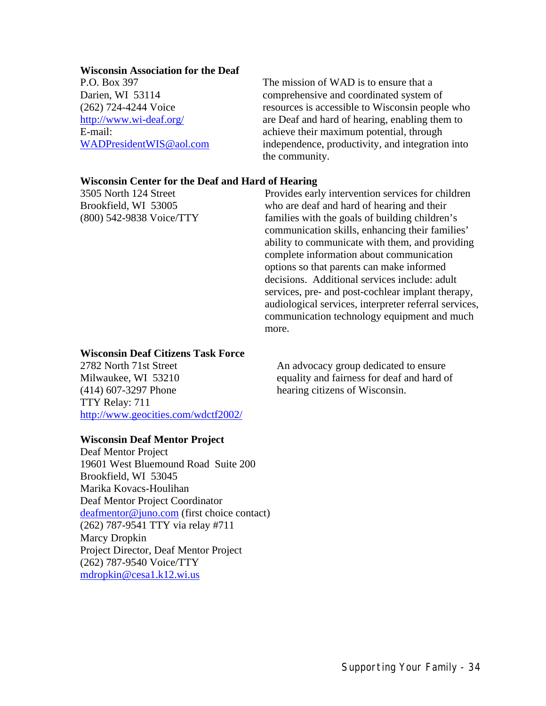#### **Wisconsin Association for the Deaf**

P.O. Box 397 Darien, WI 53114 (262) 724-4244 Voice http://www.wi-deaf.org/ E-mail: WADPresidentWIS@aol.com The mission of WAD is to ensure that a comprehensive and coordinated system of resources is accessible to Wisconsin people who are Deaf and hard of hearing, enabling them to achieve their maximum potential, through independence, productivity, and integration into the community.

#### **Wisconsin Center for the Deaf and Hard of Hearing**

3505 North 124 Street Brookfield, WI 53005 (800) 542-9838 Voice/TTY

Provides early intervention services for children who are deaf and hard of hearing and their families with the goals of building children's communication skills, enhancing their families' ability to communicate with them, and providing complete information about communication options so that parents can make informed decisions. Additional services include: adult services, pre- and post-cochlear implant therapy, audiological services, interpreter referral services, communication technology equipment and much more.

#### **Wisconsin Deaf Citizens Task Force**

2782 North 71st Street Milwaukee, WI 53210 (414) 607-3297 Phone TTY Relay: 711 http://www.geocities.com/wdctf2002/

#### **Wisconsin Deaf Mentor Project**

Deaf Mentor Project 19601 West Bluemound Road Suite 200 Brookfield, WI 53045 Marika Kovacs-Houlihan Deaf Mentor Project Coordinator deafmentor@juno.com (first choice contact) (262) 787-9541 TTY via relay #711 Marcy Dropkin Project Director, Deaf Mentor Project (262) 787-9540 Voice/TTY mdropkin@cesa1.k12.wi.us

An advocacy group dedicated to ensure equality and fairness for deaf and hard of hearing citizens of Wisconsin.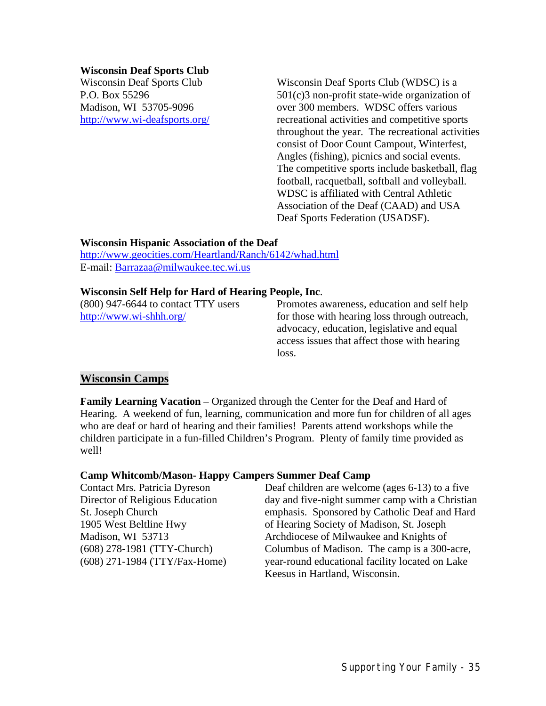### **Wisconsin Deaf Sports Club**

Wisconsin Deaf Sports Club P.O. Box 55296 Madison, WI 53705-9096 http://www.wi-deafsports.org/ Wisconsin Deaf Sports Club (WDSC) is a 501(c)3 non-profit state-wide organization of over 300 members. WDSC offers various recreational activities and competitive sports throughout the year. The recreational activities consist of Door Count Campout, Winterfest, Angles (fishing), picnics and social events. The competitive sports include basketball, flag football, racquetball, softball and volleyball. WDSC is affiliated with Central Athletic Association of the Deaf (CAAD) and USA Deaf Sports Federation (USADSF).

### **Wisconsin Hispanic Association of the Deaf**

http://www.geocities.com/Heartland/Ranch/6142/whad.html E-mail: Barrazaa@milwaukee.tec.wi.us

#### **Wisconsin Self Help for Hard of Hearing People, Inc**.

(800) 947-6644 to contact TTY users http://www.wi-shhh.org/

Promotes awareness, education and self help for those with hearing loss through outreach, advocacy, education, legislative and equal access issues that affect those with hearing loss.

## **Wisconsin Camps**

**Family Learning Vacation** – Organized through the Center for the Deaf and Hard of Hearing. A weekend of fun, learning, communication and more fun for children of all ages who are deaf or hard of hearing and their families! Parents attend workshops while the children participate in a fun-filled Children's Program. Plenty of family time provided as well!

#### **Camp Whitcomb/Mason- Happy Campers Summer Deaf Camp**

Contact Mrs. Patricia Dyreson Director of Religious Education St. Joseph Church 1905 West Beltline Hwy Madison, WI 53713 (608) 278-1981 (TTY-Church) (608) 271-1984 (TTY/Fax-Home) Deaf children are welcome (ages 6-13) to a five day and five-night summer camp with a Christian emphasis. Sponsored by Catholic Deaf and Hard of Hearing Society of Madison, St. Joseph Archdiocese of Milwaukee and Knights of Columbus of Madison. The camp is a 300-acre, year-round educational facility located on Lake Keesus in Hartland, Wisconsin.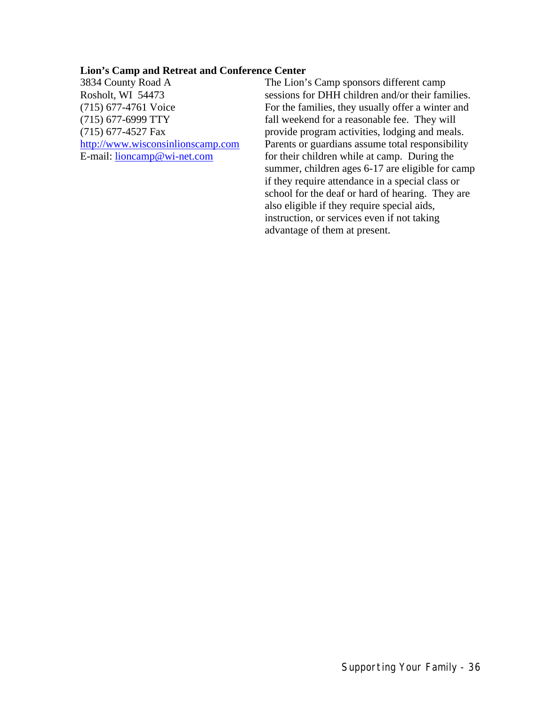#### **Lion's Camp and Retreat and Conference Center**

3834 County Road A Rosholt, WI 54473 (715) 677-4761 Voice (715) 677-6999 TTY (715) 677-4527 Fax http://www.wisconsinlionscamp.com E-mail: lioncamp@wi-net.com

The Lion's Camp sponsors different camp sessions for DHH children and/or their families. For the families, they usually offer a winter and fall weekend for a reasonable fee. They will provide program activities, lodging and meals. Parents or guardians assume total responsibility for their children while at camp. During the summer, children ages 6-17 are eligible for camp if they require attendance in a special class or school for the deaf or hard of hearing. They are also eligible if they require special aids, instruction, or services even if not taking advantage of them at present.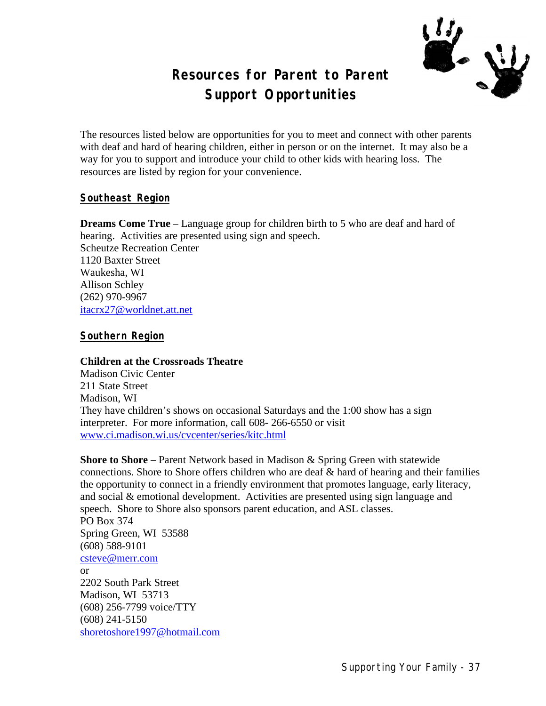

# **Resources for Parent to Parent Support Opportunities**

The resources listed below are opportunities for you to meet and connect with other parents with deaf and hard of hearing children, either in person or on the internet. It may also be a way for you to support and introduce your child to other kids with hearing loss. The resources are listed by region for your convenience.

## **Southeast Region**

**Dreams Come True** – Language group for children birth to 5 who are deaf and hard of hearing. Activities are presented using sign and speech. Scheutze Recreation Center 1120 Baxter Street Waukesha, WI Allison Schley (262) 970-9967 itacrx27@worldnet.att.net

### **Southern Region**

#### **Children at the Crossroads Theatre**

Madison Civic Center 211 State Street Madison, WI They have children's shows on occasional Saturdays and the 1:00 show has a sign interpreter. For more information, call 608- 266-6550 or visit www.ci.madison.wi.us/cvcenter/series/kitc.html

**Shore to Shore** – Parent Network based in Madison & Spring Green with statewide connections. Shore to Shore offers children who are deaf & hard of hearing and their families the opportunity to connect in a friendly environment that promotes language, early literacy, and social & emotional development. Activities are presented using sign language and speech. Shore to Shore also sponsors parent education, and ASL classes. PO Box 374 Spring Green, WI 53588 (608) 588-9101 csteve@merr.com or 2202 South Park Street Madison, WI 53713 (608) 256-7799 voice/TTY (608) 241-5150 shoretoshore1997@hotmail.com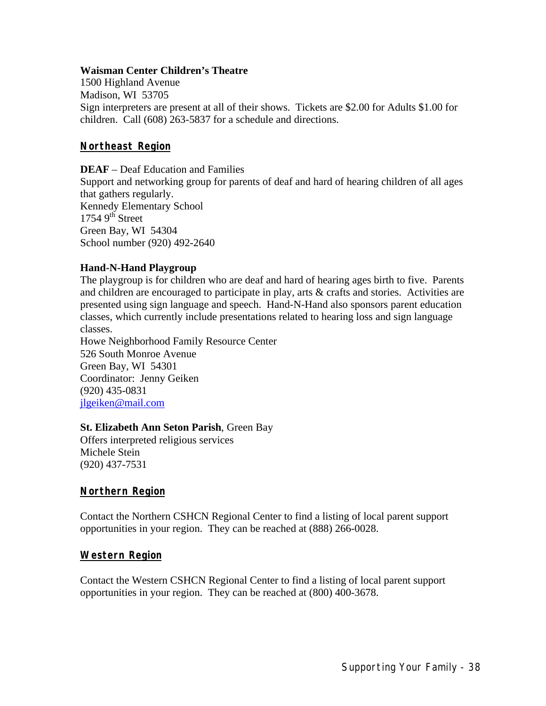#### **Waisman Center Children's Theatre**

1500 Highland Avenue Madison, WI 53705 Sign interpreters are present at all of their shows. Tickets are \$2.00 for Adults \$1.00 for children. Call (608) 263-5837 for a schedule and directions.

### **Northeast Region**

**DEAF** – Deaf Education and Families Support and networking group for parents of deaf and hard of hearing children of all ages that gathers regularly. Kennedy Elementary School  $1754$  9<sup>th</sup> Street Green Bay, WI 54304 School number (920) 492-2640

#### **Hand-N-Hand Playgroup**

The playgroup is for children who are deaf and hard of hearing ages birth to five. Parents and children are encouraged to participate in play, arts & crafts and stories. Activities are presented using sign language and speech. Hand-N-Hand also sponsors parent education classes, which currently include presentations related to hearing loss and sign language classes.

Howe Neighborhood Family Resource Center 526 South Monroe Avenue Green Bay, WI 54301 Coordinator: Jenny Geiken (920) 435-0831 jlgeiken@mail.com

#### **St. Elizabeth Ann Seton Parish**, Green Bay

Offers interpreted religious services Michele Stein (920) 437-7531

#### **Northern Region**

Contact the Northern CSHCN Regional Center to find a listing of local parent support opportunities in your region. They can be reached at (888) 266-0028.

#### **Western Region**

Contact the Western CSHCN Regional Center to find a listing of local parent support opportunities in your region. They can be reached at (800) 400-3678.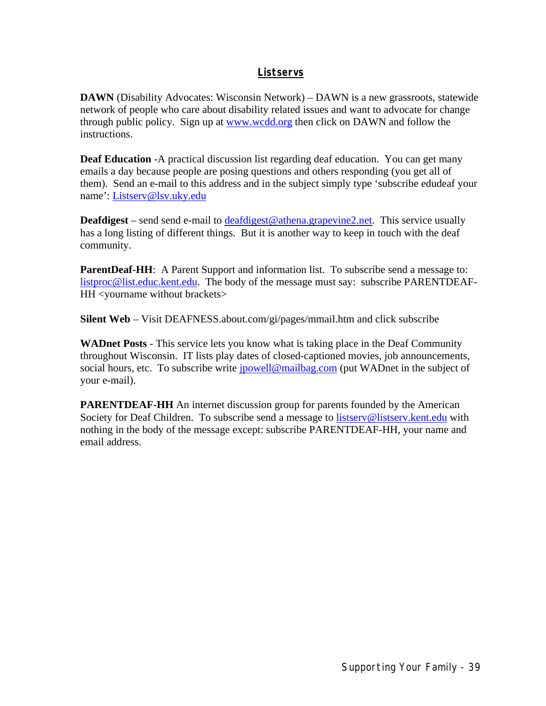## **Listservs**

**DAWN** (Disability Advocates: Wisconsin Network) – DAWN is a new grassroots, statewide network of people who care about disability related issues and want to advocate for change through public policy. Sign up at www.wcdd.org then click on DAWN and follow the instructions.

**Deaf Education** -A practical discussion list regarding deaf education. You can get many emails a day because people are posing questions and others responding (you get all of them). Send an e-mail to this address and in the subject simply type 'subscribe edudeaf your name': Listserv@lsv.uky.edu

**Deafdigest** – send send e-mail to deafdigest@athena.grapevine2.net. This service usually has a long listing of different things. But it is another way to keep in touch with the deaf community.

**ParentDeaf-HH:** A Parent Support and information list. To subscribe send a message to: listproc@list.educ.kent.edu. The body of the message must say: subscribe PARENTDEAF-HH <yourname without brackets>

**Silent Web** – Visit DEAFNESS.about.com/gi/pages/mmail.htm and click subscribe

**WADnet Posts** - This service lets you know what is taking place in the Deaf Community throughout Wisconsin. IT lists play dates of closed-captioned movies, job announcements, social hours, etc. To subscribe write *jpowell@mailbag.com* (put WADnet in the subject of your e-mail).

**PARENTDEAF-HH** An internet discussion group for parents founded by the American Society for Deaf Children. To subscribe send a message to listserv@listserv.kent.edu with nothing in the body of the message except: subscribe PARENTDEAF-HH, your name and email address.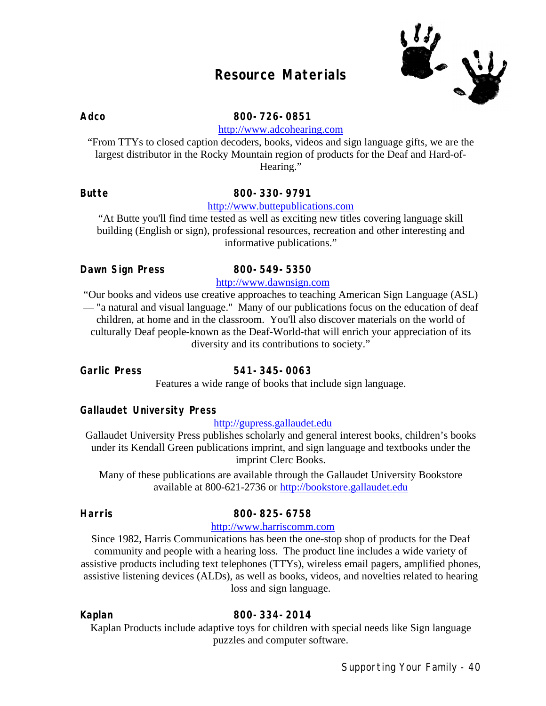# **Resource Materials**



#### **Adco 800-726-0851**

http://www.adcohearing.com

"From TTYs to closed caption decoders, books, videos and sign language gifts, we are the largest distributor in the Rocky Mountain region of products for the Deaf and Hard-of-Hearing."

#### **Butte 800-330-9791**

#### http://www.buttepublications.com

"At Butte you'll find time tested as well as exciting new titles covering language skill building (English or sign), professional resources, recreation and other interesting and informative publications."

### **Dawn Sign Press 800-549-5350**

http://www.dawnsign.com

"Our books and videos use creative approaches to teaching American Sign Language (ASL) — "a natural and visual language." Many of our publications focus on the education of deaf children, at home and in the classroom. You'll also discover materials on the world of culturally Deaf people-known as the Deaf-World-that will enrich your appreciation of its diversity and its contributions to society."

#### **Garlic Press 541-345-0063**

Features a wide range of books that include sign language.

#### **Gallaudet University Press**

#### http://gupress.gallaudet.edu

Gallaudet University Press publishes scholarly and general interest books, children's books under its Kendall Green publications imprint, and sign language and textbooks under the imprint Clerc Books.

Many of these publications are available through the Gallaudet University Bookstore available at 800-621-2736 or http://bookstore.gallaudet.edu

#### **Harris 800-825-6758**

# http://www.harriscomm.com

Since 1982, Harris Communications has been the one-stop shop of products for the Deaf community and people with a hearing loss. The product line includes a wide variety of assistive products including text telephones (TTYs), wireless email pagers, amplified phones, assistive listening devices (ALDs), as well as books, videos, and novelties related to hearing loss and sign language.

#### **Kaplan 800-334-2014**

Kaplan Products include adaptive toys for children with special needs like Sign language puzzles and computer software.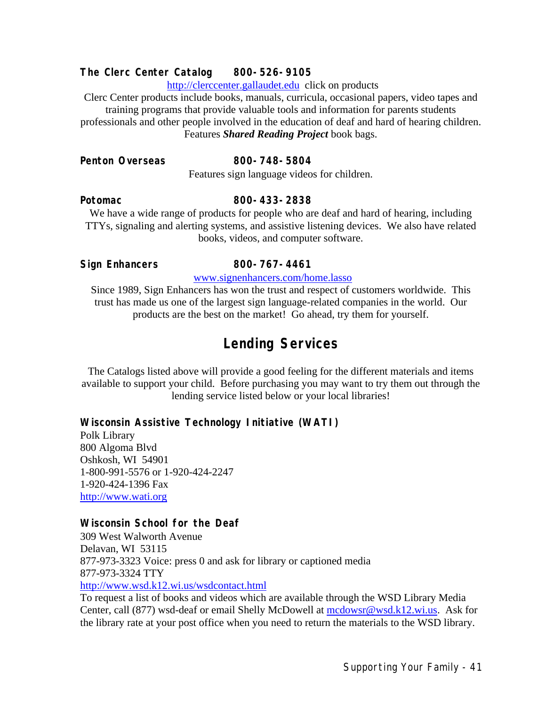## **The Clerc Center Catalog 800-526-9105**

#### http://clerccenter.gallaudet.edu click on products

Clerc Center products include books, manuals, curricula, occasional papers, video tapes and training programs that provide valuable tools and information for parents students professionals and other people involved in the education of deaf and hard of hearing children. Features *Shared Reading Project* book bags.

**Penton Overseas 800-748-5804**

Features sign language videos for children.

## **Potomac 800-433-2838**

We have a wide range of products for people who are deaf and hard of hearing, including TTYs, signaling and alerting systems, and assistive listening devices. We also have related books, videos, and computer software.

**Sign Enhancers 800-767-4461**

#### www.signenhancers.com/home.lasso

Since 1989, Sign Enhancers has won the trust and respect of customers worldwide. This trust has made us one of the largest sign language-related companies in the world. Our products are the best on the market! Go ahead, try them for yourself.

# **Lending Services**

The Catalogs listed above will provide a good feeling for the different materials and items available to support your child. Before purchasing you may want to try them out through the lending service listed below or your local libraries!

## **Wisconsin Assistive Technology Initiative (WATI)**

Polk Library 800 Algoma Blvd Oshkosh, WI 54901 1-800-991-5576 or 1-920-424-2247 1-920-424-1396 Fax http://www.wati.org

## **Wisconsin School for the Deaf**

309 West Walworth Avenue Delavan, WI 53115 877-973-3323 Voice: press 0 and ask for library or captioned media 877-973-3324 TTY http://www.wsd.k12.wi.us/wsdcontact.html

To request a list of books and videos which are available through the WSD Library Media Center, call (877) wsd-deaf or email Shelly McDowell at mcdowsr@wsd.k12.wi.us. Ask for the library rate at your post office when you need to return the materials to the WSD library.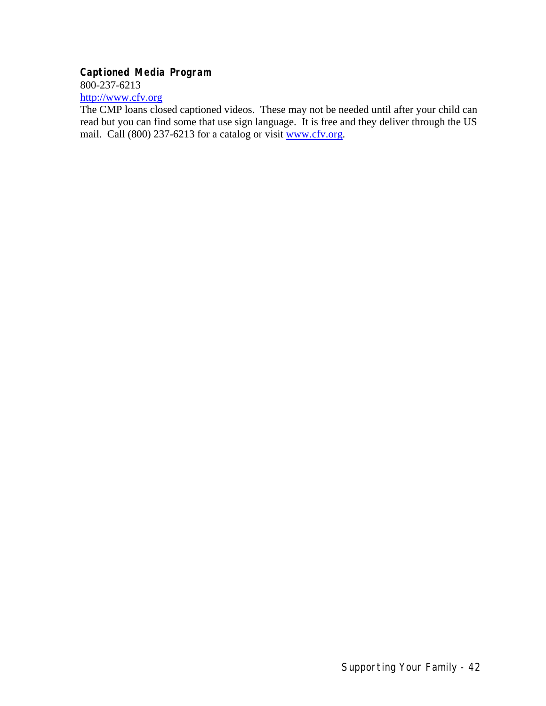# **Captioned Media Program**

800-237-6213

### http://www.cfv.org

The CMP loans closed captioned videos. These may not be needed until after your child can read but you can find some that use sign language. It is free and they deliver through the US mail. Call (800) 237-6213 for a catalog or visit www.cfv.org.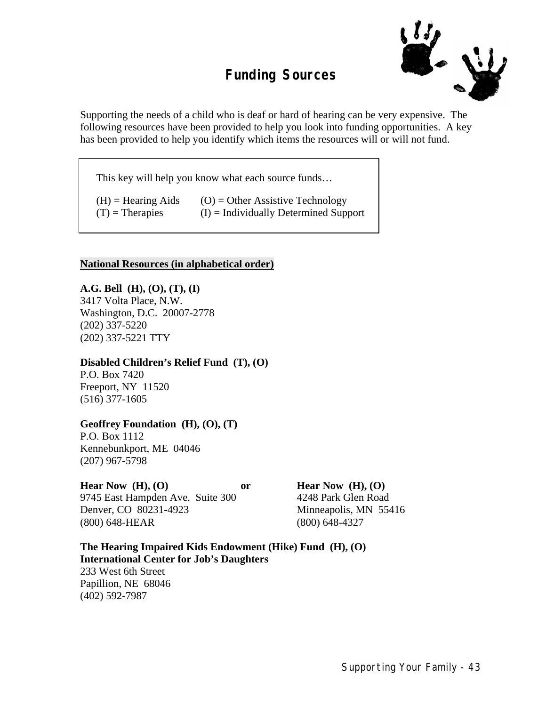# **Funding Sources**



Supporting the needs of a child who is deaf or hard of hearing can be very expensive. The following resources have been provided to help you look into funding opportunities. A key has been provided to help you identify which items the resources will or will not fund.

This key will help you know what each source funds…

| $(H)$ = Hearing Aids | $(O) =$ Other Assistive Technology      |
|----------------------|-----------------------------------------|
| $(T)$ = Therapies    | $(I)$ = Individually Determined Support |

#### **National Resources (in alphabetical order)**

**A.G. Bell (H), (O), (T), (I)** 3417 Volta Place, N.W. Washington, D.C. 20007-2778 (202) 337-5220 (202) 337-5221 TTY

#### **Disabled Children's Relief Fund (T), (O)**

P.O. Box 7420 Freeport, NY 11520 (516) 377-1605

#### **Geoffrey Foundation (H), (O), (T)**

P.O. Box 1112 Kennebunkport, ME 04046 (207) 967-5798

9745 East Hampden Ave. Suite 300 4248 Park Glen Road Denver, CO 80231-4923 Minneapolis, MN 55416 (800) 648-HEAR (800) 648-4327

**Hear Now (H), (O) or Hear Now (H), (O)**

**The Hearing Impaired Kids Endowment (Hike) Fund (H), (O) International Center for Job's Daughters** 233 West 6th Street Papillion, NE 68046 (402) 592-7987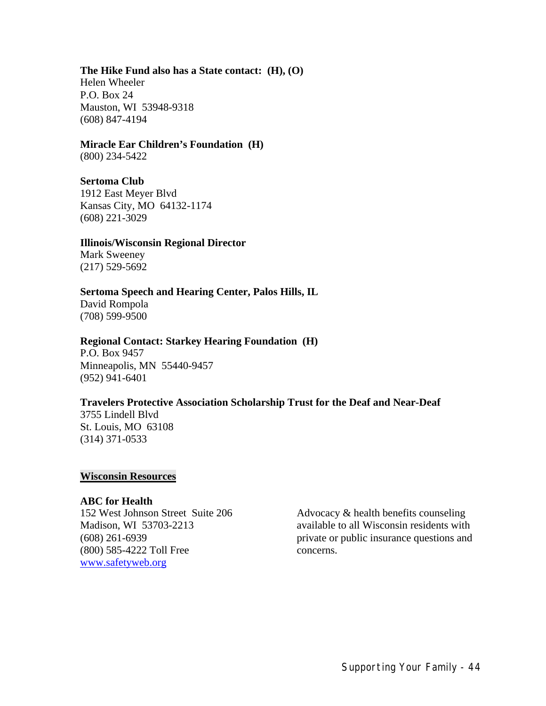# **The Hike Fund also has a State contact: (H), (O)**

Helen Wheeler P.O. Box 24 Mauston, WI 53948-9318 (608) 847-4194

### **Miracle Ear Children's Foundation (H)**

(800) 234-5422

### **Sertoma Club**

1912 East Meyer Blvd Kansas City, MO 64132-1174 (608) 221-3029

#### **Illinois/Wisconsin Regional Director**

Mark Sweeney (217) 529-5692

### **Sertoma Speech and Hearing Center, Palos Hills, IL**

David Rompola (708) 599-9500

### **Regional Contact: Starkey Hearing Foundation (H)**

P.O. Box 9457 Minneapolis, MN 55440-9457 (952) 941-6401

#### **Travelers Protective Association Scholarship Trust for the Deaf and Near-Deaf**

3755 Lindell Blvd St. Louis, MO 63108 (314) 371-0533

#### **Wisconsin Resources**

#### **ABC for Health**

152 West Johnson Street Suite 206 Madison, WI 53703-2213 (608) 261-6939 (800) 585-4222 Toll Free www.safetyweb.org

Advocacy & health benefits counseling available to all Wisconsin residents with private or public insurance questions and concerns.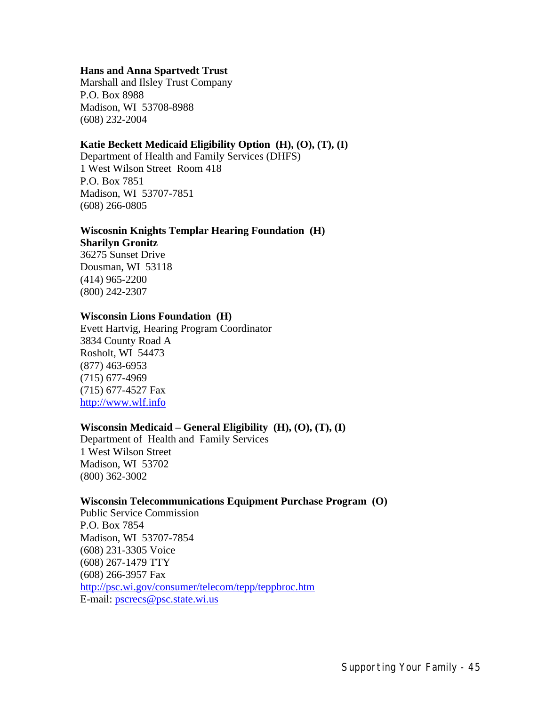#### **Hans and Anna Spartvedt Trust**

Marshall and Ilsley Trust Company P.O. Box 8988 Madison, WI 53708-8988 (608) 232-2004

#### **Katie Beckett Medicaid Eligibility Option (H), (O), (T), (I)**

Department of Health and Family Services (DHFS) 1 West Wilson Street Room 418 P.O. Box 7851 Madison, WI 53707-7851 (608) 266-0805

# **Wiscosnin Knights Templar Hearing Foundation (H)**

#### **Sharilyn Gronitz**

36275 Sunset Drive Dousman, WI 53118 (414) 965-2200 (800) 242-2307

#### **Wisconsin Lions Foundation (H)**

Evett Hartvig, Hearing Program Coordinator 3834 County Road A Rosholt, WI 54473 (877) 463-6953 (715) 677-4969 (715) 677-4527 Fax http://www.wlf.info

#### **Wisconsin Medicaid – General Eligibility (H), (O), (T), (I)**

Department of Health and Family Services 1 West Wilson Street Madison, WI 53702 (800) 362-3002

#### **Wisconsin Telecommunications Equipment Purchase Program (O)**

Public Service Commission P.O. Box 7854 Madison, WI 53707-7854 (608) 231-3305 Voice (608) 267-1479 TTY (608) 266-3957 Fax http://psc.wi.gov/consumer/telecom/tepp/teppbroc.htm E-mail: pscrecs@psc.state.wi.us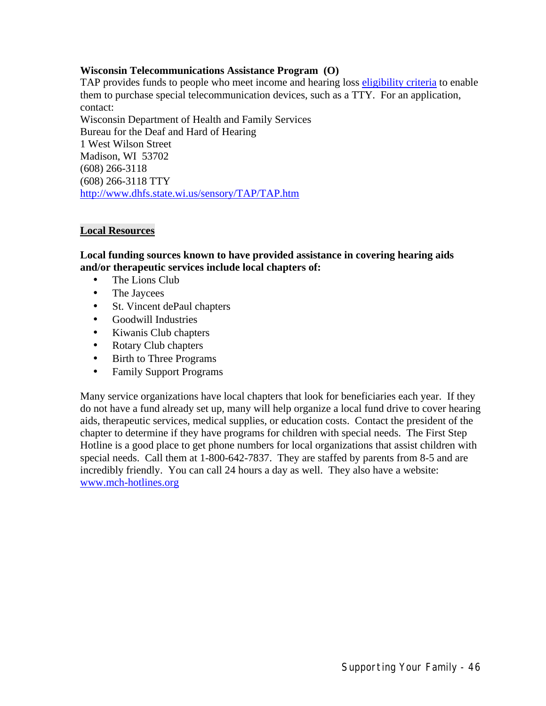#### **Wisconsin Telecommunications Assistance Program (O)**

TAP provides funds to people who meet income and hearing loss eligibility criteria to enable them to purchase special telecommunication devices, such as a TTY. For an application, contact: Wisconsin Department of Health and Family Services Bureau for the Deaf and Hard of Hearing 1 West Wilson Street Madison, WI 53702 (608) 266-3118 (608) 266-3118 TTY http://www.dhfs.state.wi.us/sensory/TAP/TAP.htm

### **Local Resources**

**Local funding sources known to have provided assistance in covering hearing aids and/or therapeutic services include local chapters of:**

- The Lions Club
- The Jaycees
- St. Vincent dePaul chapters
- Goodwill Industries
- Kiwanis Club chapters
- Rotary Club chapters
- Birth to Three Programs
- Family Support Programs

Many service organizations have local chapters that look for beneficiaries each year. If they do not have a fund already set up, many will help organize a local fund drive to cover hearing aids, therapeutic services, medical supplies, or education costs. Contact the president of the chapter to determine if they have programs for children with special needs. The First Step Hotline is a good place to get phone numbers for local organizations that assist children with special needs. Call them at 1-800-642-7837. They are staffed by parents from 8-5 and are incredibly friendly. You can call 24 hours a day as well. They also have a website: www.mch-hotlines.org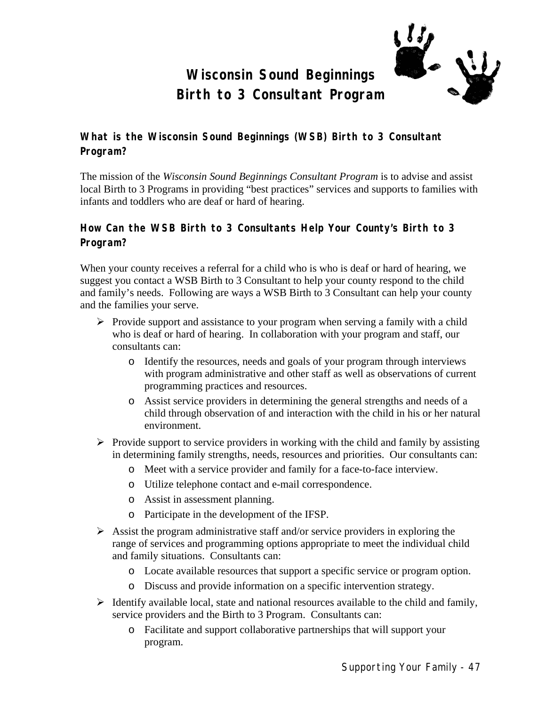

# **Wisconsin Sound Beginnings Birth to 3 Consultant Program**

# **What is the Wisconsin Sound Beginnings (WSB) Birth to 3 Consultant Program?**

The mission of the *Wisconsin Sound Beginnings Consultant Program* is to advise and assist local Birth to 3 Programs in providing "best practices" services and supports to families with infants and toddlers who are deaf or hard of hearing.

# **How Can the WSB Birth to 3 Consultants Help Your County's Birth to 3 Program?**

When your county receives a referral for a child who is who is deaf or hard of hearing, we suggest you contact a WSB Birth to 3 Consultant to help your county respond to the child and family's needs. Following are ways a WSB Birth to 3 Consultant can help your county and the families your serve.

- $\triangleright$  Provide support and assistance to your program when serving a family with a child who is deaf or hard of hearing. In collaboration with your program and staff, our consultants can:
	- o Identify the resources, needs and goals of your program through interviews with program administrative and other staff as well as observations of current programming practices and resources.
	- o Assist service providers in determining the general strengths and needs of a child through observation of and interaction with the child in his or her natural environment.
- $\triangleright$  Provide support to service providers in working with the child and family by assisting in determining family strengths, needs, resources and priorities. Our consultants can:
	- o Meet with a service provider and family for a face-to-face interview.
	- o Utilize telephone contact and e-mail correspondence.
	- o Assist in assessment planning.
	- o Participate in the development of the IFSP.
- $\triangleright$  Assist the program administrative staff and/or service providers in exploring the range of services and programming options appropriate to meet the individual child and family situations. Consultants can:
	- o Locate available resources that support a specific service or program option.
	- o Discuss and provide information on a specific intervention strategy.
- $\triangleright$  Identify available local, state and national resources available to the child and family, service providers and the Birth to 3 Program. Consultants can:
	- o Facilitate and support collaborative partnerships that will support your program.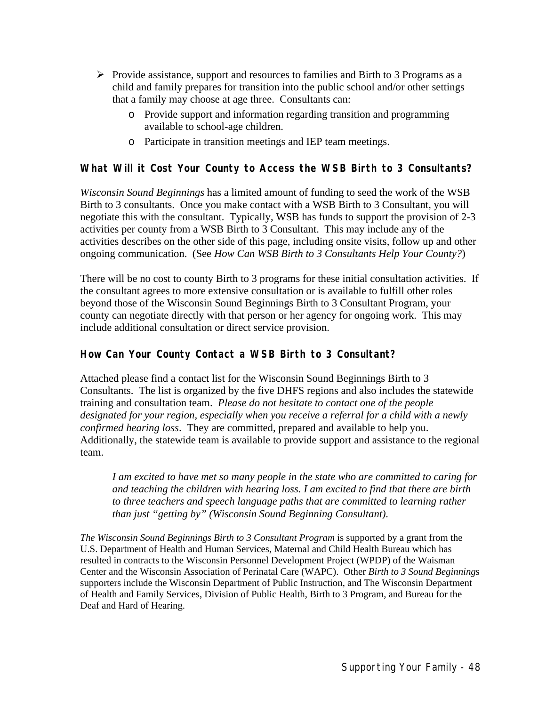- $\triangleright$  Provide assistance, support and resources to families and Birth to 3 Programs as a child and family prepares for transition into the public school and/or other settings that a family may choose at age three. Consultants can:
	- o Provide support and information regarding transition and programming available to school-age children.
	- o Participate in transition meetings and IEP team meetings.

# **What Will it Cost Your County to Access the WSB Birth to 3 Consultants?**

*Wisconsin Sound Beginnings* has a limited amount of funding to seed the work of the WSB Birth to 3 consultants. Once you make contact with a WSB Birth to 3 Consultant, you will negotiate this with the consultant. Typically, WSB has funds to support the provision of 2-3 activities per county from a WSB Birth to 3 Consultant. This may include any of the activities describes on the other side of this page, including onsite visits, follow up and other ongoing communication. (See *How Can WSB Birth to 3 Consultants Help Your County?*)

There will be no cost to county Birth to 3 programs for these initial consultation activities. If the consultant agrees to more extensive consultation or is available to fulfill other roles beyond those of the Wisconsin Sound Beginnings Birth to 3 Consultant Program, your county can negotiate directly with that person or her agency for ongoing work. This may include additional consultation or direct service provision.

## **How Can Your County Contact a WSB Birth to 3 Consultant?**

Attached please find a contact list for the Wisconsin Sound Beginnings Birth to 3 Consultants. The list is organized by the five DHFS regions and also includes the statewide training and consultation team. *Please do not hesitate to contact one of the people designated for your region, especially when you receive a referral for a child with a newly confirmed hearing loss*. They are committed, prepared and available to help you. Additionally, the statewide team is available to provide support and assistance to the regional team.

*I am excited to have met so many people in the state who are committed to caring for and teaching the children with hearing loss. I am excited to find that there are birth to three teachers and speech language paths that are committed to learning rather than just "getting by" (Wisconsin Sound Beginning Consultant).*

*The Wisconsin Sound Beginnings Birth to 3 Consultant Program* is supported by a grant from the U.S. Department of Health and Human Services, Maternal and Child Health Bureau which has resulted in contracts to the Wisconsin Personnel Development Project (WPDP) of the Waisman Center and the Wisconsin Association of Perinatal Care (WAPC). Other *Birth to 3 Sound Beginning*s supporters include the Wisconsin Department of Public Instruction, and The Wisconsin Department of Health and Family Services, Division of Public Health, Birth to 3 Program, and Bureau for the Deaf and Hard of Hearing.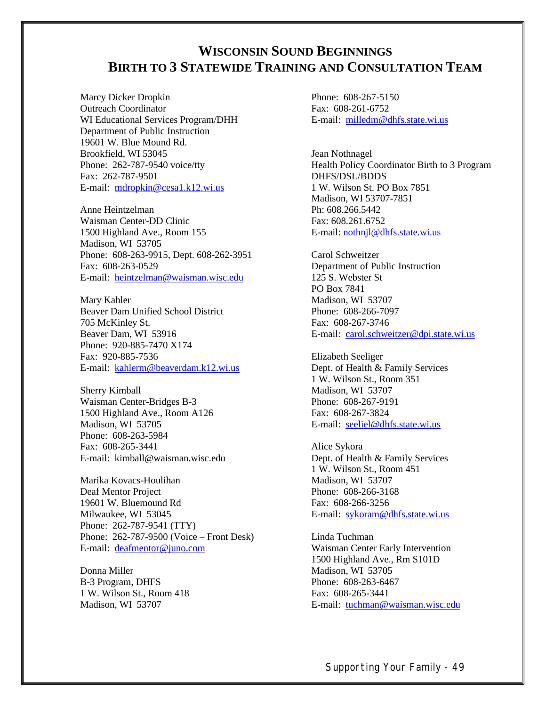# **WISCONSIN SOUND BEGINNINGS BIRTH TO 3 STATEWIDE TRAINING AND CONSULTATION TEAM**

Marcy Dicker Dropkin Outreach Coordinator WI Educational Services Program/DHH Department of Public Instruction 19601 W. Blue Mound Rd. Brookfield, WI 53045 Phone: 262-787-9540 voice/tty Fax: 262-787-9501 E-mail: mdropkin@cesa1.k12.wi.us

Anne Heintzelman Waisman Center-DD Clinic 1500 Highland Ave., Room 155 Madison, WI 53705 Phone: 608-263-9915, Dept. 608-262-3951 Fax: 608-263-0529 E-mail: heintzelman@waisman.wisc.edu

Mary Kahler Beaver Dam Unified School District 705 McKinley St. Beaver Dam, WI 53916 Phone: 920-885-7470 X174 Fax: 920-885-7536 E-mail: kahlerm@beaverdam.k12.wi.us

Sherry Kimball Waisman Center-Bridges B-3 1500 Highland Ave., Room A126 Madison, WI 53705 Phone: 608-263-5984 Fax: 608-265-3441 E-mail: kimball@waisman.wisc.edu

Marika Kovacs-Houlihan Deaf Mentor Project 19601 W. Bluemound Rd Milwaukee, WI 53045 Phone: 262-787-9541 (TTY) Phone: 262-787-9500 (Voice – Front Desk) E-mail: deafmentor@juno.com

Donna Miller B-3 Program, DHFS 1 W. Wilson St., Room 418 Madison, WI 53707

Phone: 608-267-5150 Fax: 608-261-6752 E-mail: milledm@dhfs.state.wi.us

Jean Nothnagel Health Policy Coordinator Birth to 3 Program DHFS/DSL/BDDS 1 W. Wilson St. PO Box 7851 Madison, WI 53707-7851 Ph: 608.266.5442 Fax: 608.261.6752 E-mail: nothnjl@dhfs.state.wi.us

Carol Schweitzer Department of Public Instruction 125 S. Webster St PO Box 7841 Madison, WI 53707 Phone: 608-266-7097 Fax: 608-267-3746 E-mail: carol.schweitzer@dpi.state.wi.us

Elizabeth Seeliger Dept. of Health & Family Services 1 W. Wilson St., Room 351 Madison, WI 53707 Phone: 608-267-9191 Fax: 608-267-3824 E-mail: seeliel@dhfs.state.wi.us

Alice Sykora Dept. of Health & Family Services 1 W. Wilson St., Room 451 Madison, WI 53707 Phone: 608-266-3168 Fax: 608-266-3256 E-mail: sykoram@dhfs.state.wi.us

Linda Tuchman Waisman Center Early Intervention 1500 Highland Ave., Rm S101D Madison, WI 53705 Phone: 608-263-6467 Fax: 608-265-3441 E-mail: tuchman@waisman.wisc.edu